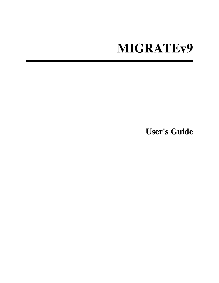# **MIGRATEv9**

**User's Guide**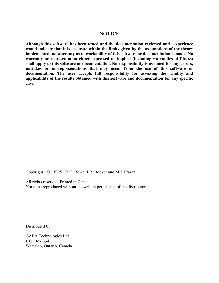#### **NOTICE**

**Although this software has been tested and the documentation reviewed and experience would indicate that it is accurate within the limits given by the assumptions of the theory implemented, no warranty as to workability of this software or documentation is made. No warranty or representation either expressed or implied (including warranties of fitness) shall apply to this software or documentation. No responsibility is assumed for any errors, mistakes or misrepresentations that may occur from the use of this software or documentation. The user accepts full responsibility for assessing the validity and applicability of the results obtained with this software and documentation for any specific case.**

Copyright © 1995 R.K. Rowe, J.R. Booker and M.J. Fraser

All rights reserved. Printed in Canada. Not to be reproduced without the written permission of the distributor.

Distributed by:

GAEA Technologies Ltd. P.O. Box 334 Waterloo, Ontario, Canada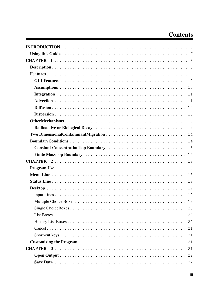## **Contents**

|                                                                                                   | 18 |
|---------------------------------------------------------------------------------------------------|----|
|                                                                                                   | 18 |
|                                                                                                   | 18 |
|                                                                                                   | 19 |
|                                                                                                   | 19 |
|                                                                                                   | 19 |
|                                                                                                   | 20 |
|                                                                                                   | 20 |
|                                                                                                   | 20 |
|                                                                                                   | 21 |
| Short-cut keys $\dots\dots\dots\dots\dots\dots\dots\dots\dots\dots\dots\dots\dots\dots\dots\dots$ |    |
|                                                                                                   |    |
|                                                                                                   | 21 |
|                                                                                                   | 22 |
|                                                                                                   |    |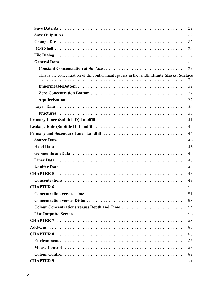| This is the concentration of the contaminant species in the landfill. Finite Massat Surface                                   |    |
|-------------------------------------------------------------------------------------------------------------------------------|----|
|                                                                                                                               |    |
|                                                                                                                               |    |
|                                                                                                                               |    |
|                                                                                                                               |    |
|                                                                                                                               |    |
|                                                                                                                               |    |
|                                                                                                                               | 41 |
|                                                                                                                               | 42 |
| <b>Primary and Secondary Liner Landfill</b> $\ldots \ldots \ldots \ldots \ldots \ldots \ldots \ldots \ldots \ldots \ldots$ 44 |    |
|                                                                                                                               |    |
|                                                                                                                               |    |
|                                                                                                                               | 46 |
|                                                                                                                               | 46 |
|                                                                                                                               | 47 |
|                                                                                                                               | 48 |
|                                                                                                                               | 48 |
|                                                                                                                               |    |
|                                                                                                                               |    |
|                                                                                                                               |    |
|                                                                                                                               |    |
|                                                                                                                               |    |
|                                                                                                                               |    |
|                                                                                                                               |    |
|                                                                                                                               |    |
|                                                                                                                               |    |
|                                                                                                                               |    |
|                                                                                                                               |    |
|                                                                                                                               |    |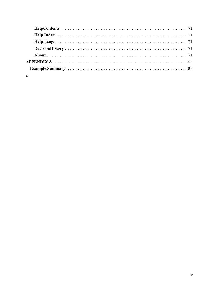| APPENDIX A $\dots\dots\dots\dots\dots\dots\dots\dots\dots\dots\dots\dots\dots\dots\dots\dots$ |  |  |  |  |  |  |  |  |  |  |  |  |  |
|-----------------------------------------------------------------------------------------------|--|--|--|--|--|--|--|--|--|--|--|--|--|
|                                                                                               |  |  |  |  |  |  |  |  |  |  |  |  |  |
| a                                                                                             |  |  |  |  |  |  |  |  |  |  |  |  |  |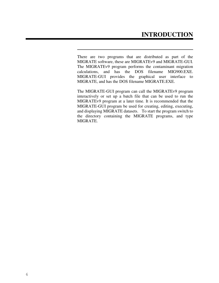There are two programs that are distributed as part of the MIGRATE software, these are MIGRATEv9 and MIGRATE-GUI. The MIGRATEv9 program performs the contaminant migration calculations, and has the DOS filename MIG900.EXE. MIGRATE-GUI provides the graphical user interface to MIGRATE, and has the DOS filename MIGRATE.EXE.

The MIGRATE-GUI program can call the MIGRATEv9 program interactively or set up a batch file that can be used to run the MIGRATEv9 program at a later time. It is recommended that the MIGRATE-GUI program be used for creating, editing, executing, and displaying MIGRATE datasets. To start the program switch to the directory containing the MIGRATE programs, and type MIGRATE.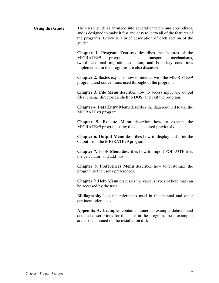Using this Guide The user's guide is arranged into several chapters and appendixes, and is designed to make it fast and easy to learn all of the features of the programs. Below is a brief description of each section of the guide:

> **Chapter 1. Program Features** describes the features of the MIGRATEv9 program. The transport mechanisms, two-dimensional migration equation, and boundary conditions implemented in the programs are also discussed.

> **Chapter 2. Basics** explains how to interact with the MIGRATEv9 program, and conventions used throughout the program.

> **Chapter 3. File Menu** describes how to access input and output files, change directories, shell to DOS, and exit the program.

> **Chapter 4. Data Entry Menu** describes the data required to use the MIGRATEv9 program.

> **Chapter 5. Execute Menu** describes how to execute the MIGRATEv9 program using the data entered previously.

> **Chapter 6. Output Menu** describes how to display and print the output from the MIGRATEv9 program.

> **Chapter 7. Tools Menu** describes how to import POLLUTE files the calculator, and add-ons.

> **Chapter 8. Preferences Menu** describes how to customize the program to the user's preferences.

> **Chapter 9. Help Menu** discusses the various types of help that can be accessed by the user.

> **Bibliography** lists the references used in the manual and other pertinent references.

> **Appendix A. Examples** contains numerous example datasets and detailed descriptions for their use in the program, these examples are also contained on the installation disk.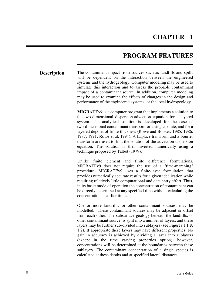### **CHAPTER 1**

### **PROGRAM FEATURES**

**Description** The contaminant impact from sources such as landfills and spills will be dependent on the interaction between the engineered systems and the hydrogeology. Computer modeling may be used to simulate this interaction and to assess the probable contaminant impact of a contaminant source. In addition, computer modeling may be used to examine the effects of changes in the design and performance of the engineered systems, or the local hydrogeology.

> **MIGRATEv9** is a computer program that implements a solution to the two-dimensional dispersion-advection equation for a layered system. The analytical solution is developed for the case of two-dimensional contaminant transport for a single solute, and for a layered deposit of finite thickness (Rowe and Booker, 1985, 1986, 1987, 1991; Rowe et al, 1994). A Laplace transform and a Fourier transform are used to find the solution of the advection-dispersion equation. The solution is then inverted numerically using a technique proposed by Talbot (1979).

> Unlike finite element and finite difference formulations, MIGRATEv9 does not require the use of a "time-marching" procedure. MIGRATEv9 uses a finite-layer formulation that provides numerically accurate results for a given idealization while requiring relatively little computational and data entry effort. Thus, in its basic mode of operation the concentration of contaminant can be directly determined at any specified time without calculating the concentration at earlier times.

> One or more landfills, or other contaminant sources, may be modelled. These contaminant sources may be adjacent or offset from each other. The subsurface geology beneath the landfills, or other contaminant source, is split into a number of layers, and these layers may be further sub-divided into sublayers (see Figures 1.1 & 1.2). If appropriate these layers may have different properties. No gain in accuracy is achieved by dividing a layer into sublayers (except in the time varying properties option), however, concentrations will be determined at the boundaries between these sublayers. The contaminant concentration of a single species is calculated at these depths and at specified lateral distances.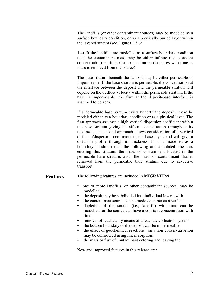The landfills (or other contaminant sources) may be modeled as a surface boundary condition, or as a physically buried layer within the layered system (see Figures 1.3 &

1.4). If the landfills are modelled as a surface boundary condition then the contaminant mass may be either infinite (i.e., constant concentration) or finite (i.e., concentration decreases with time as mass is removed from the source).

The base stratum beneath the deposit may be either permeable or impermeable. If the base stratum is permeable, the concentration at the interface between the deposit and the permeable stratum will depend on the outflow velocity within the permeable stratum. If the base is impermeable, the flux at the deposit-base interface is assumed to be zero.

If a permeable base stratum exists beneath the deposit, it can be modeled either as a boundary condition or as a physical layer. The first approach assumes a high vertical dispersion coefficient within the base stratum giving a uniform concentration throughout its thickness. The second approach allows consideration of a vertical diffusion/dispersion coefficient in the base layer, and will give a diffusion profile through its thickness. If it is modelled as a boundary condition then the following are calculated: the flux entering this stratum, the mass of contaminant located in the permeable base stratum, and the mass of contaminant that is removed from the permeable base stratum due to advective transport.

#### **Features** The following features are included in **MIGRATEv9**:

- one or more landfills, or other contaminant sources, may be modelled;
- the deposit may be subdivided into individual layers, with
- the contaminant source can be modeled either as a surface
- depletion of the source (i.e., landfill) with time can be modelled, or the source can have a constant concentration with time;
- removal of leachate by means of a leachate collection system
- the bottom boundary of the deposit can be impermeable,
- the effect of geochemical reactions on a non-conservative ion may be considered using linear sorption;
- the mass or flux of contaminant entering and leaving the

New and improved features in this release are: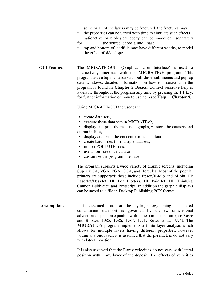- some or all of the layers may be fractured, the fractures may
- the properties can be varied with time to simulate such effects
- radioactive or biological decay can be modelled separately for the source, deposit, and base;
- top and bottom of landfills may have different widths, to model the effect of side-slopes.
- **GUI Features** The MIGRATE-GUI (Graphical User Interface) is used to interactively interface with the **MIGRATEv9** program. This program uses a top menu bar with pull-down sub-menus and pop-up data windows, detailed information on how to interact with the program is found in **Chapter 2 Basics**. Context sensitive help is available throughout the program any time by pressing the F1 key, for further information on how to use help see **Help** in **Chapter 9.**

Using MIGRATE-GUI the user can:

- create data sets,
- execute these data sets in MIGRATEv9.
- display and print the results as graphs, store the datasets and output in files,
- display and print the concentrations in colour,
- create batch files for multiple datasets,
- import POLLUTE files,
- use an on-screen calculator,
- customize the program interface.

The program supports a wide variety of graphic screens; including Super VGA, VGA, EGA, CGA, and Hercules. Most of the popular printers are supported; these include Epson/IBM 9 and 24 pin, HP LaserJet/DeskJet, HP Pen Plotters, HP PaintJet, HP ThinkJet, Cannon Bubblejet, and Postscript. In addition the graphic displays can be saved to a file in Desktop Publishing PCX format.

**Assumptions** It is assumed that for the hydrogeology being considered contaminant transport is governed by the two-dimensional advection-dispersion equation within the porous medium (see Rowe and Booker, 1985, 1986, 1987, 1991; Rowe et a;, 1994). The **MIGRATEv9** program implements a finite layer analysis which allows for multiple layers having different properties, however within any one layer, it is assumed that the parameters do not vary with lateral position.

> It is also assumed that the Darcy velocities do not vary with lateral position within any layer of the deposit. The effects of velocities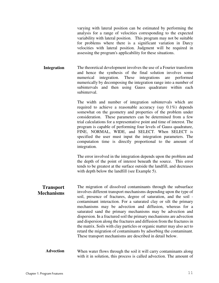varying with lateral position can be estimated by performing the analysis for a range of velocities corresponding to the expected variability with lateral position. This program may not be suitable for problems where there is a significant variation in Darcy velocities with lateral position. Judgment will be required in assessing the program's applicability for these situations.

**Integration** The theoretical development involves the use of a Fourier transform and hence the synthesis of the final solution involves some numerical integration. These integrations are performed numerically by decomposing the integration range into a number of subintervals and then using Gauss quadrature within each subinterval.

> The width and number of integration subintervals which are required to achieve a reasonable accuracy (say 0.1%) depends somewhat on the geometry and properties of the problem under consideration. These parameters can be determined from a few trial calculations for a representative point and time of interest. The program is capable of performing four levels of Gauss quadrature, FINE, NORMAL, WIDE, and SELECT. When SELECT is specified the user must input the integration parameters. The computation time is directly proportional to the amount of integration.

> The error involved in the integration depends upon the problem and the depth of the point of interest beneath the source. This error tends to be greatest at the surface outside the landfill, and decreases with depth below the landfill (see Example 5).

- **Transport Mechanisms** The migration of dissolved contaminants through the subsurface involves different transport mechanisms depending upon the type of soil, presence of fractures, degree of saturation, and the soil contaminant interaction. For a saturated clay or silt the primary mechanisms may be advection and diffusion, whereas for a saturated sand the primary mechanisms may be advection and dispersion. In a fractured soil the primary mechanisms are advection and dispersion along the fractures and diffusion from the fractures in the matrix. Soils with clay particles or organic matter may also act to retard the migration of contaminants by adsorbing the contaminant. These transport mechanisms are described in detail below.
	- **Advection** When water flows through the soil it will carry contaminants along with it in solution, this process is called advection. The amount of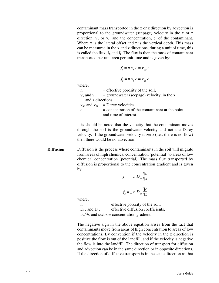contaminant mass transported in the x or z direction by advection is proportional to the groundwater (seepage) velocity in the x or z direction,  $v_x$  or  $v_z$ , and the concentration, c, of the contaminant. Where x is the lateral offset and z is the vertical depth. This mass can be measured in the x and z directions, during a unit of time, this is called the flux,  $f_x$  and  $f_z$ . The flux is then the mass of contaminant transported per unit area per unit time and is given by:

$$
f_x = n v_x c = v_{ax} c
$$

$$
f_z = n v_z c = v_{az} c
$$

where,

 $n =$  effective porosity of the soil,  $v_x$  and  $v_z$  = groundwater (seepage) velocity, in the x and z directions,  $v_{ax}$  and  $v_{az}$  = Darcy velocities,  $c =$  concentration of the contaminant at the point and time of interest.

It is should be noted that the velocity that the contaminant moves through the soil is the groundwater velocity and not the Darcy velocity. If the groundwater velocity is zero (i.e., there is no flow) then there would be no advection.

**Diffusion** Diffusion is the process where contaminants in the soil will migrate from areas of high chemical concentration (potential) to areas of low chemical concentration (potential). The mass flux transported by diffusion is proportional to the concentration gradient and is given by:

$$
f_x = - n D_{ex} \frac{\mathbb{I}C}{\mathbb{I}x}
$$

$$
f_z = - n D_{ez} \frac{\mathbb{I}C}{\mathbb{I}z}
$$

where,

 $n =$  effective porosity of the soil,  $D_{ex}$  and  $D_{ez}$  = effective diffusion coefficients, ∂c/∂x and ∂c/∂z = concentration gradient.

The negative sign in the above equation arises from the fact that contaminants move from areas of high concentration to areas of low concentrations. By convention if the velocity in the z direction is positive the flow is out of the landfill, and if the velocity is negative the flow is into the landfill. The direction of transport for diffusion and advection can be in the same direction or in opposite directions. If the direction of diffusive transport is in the same direction as that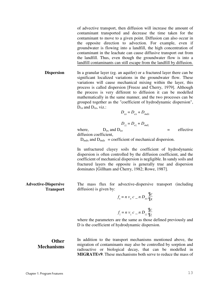of advective transport, then diffusion will increase the amount of contaminant transported and decrease the time taken for the contaminant to move to a given point. Diffusion can also occur in the opposite direction to advection. For example, even if groundwater is flowing into a landfill, the high concentration of contaminant in the leachate can cause diffusive transport out from the landfill. Thus, even though the groundwater flow is into a landfill contaminants can still escape from the landfill by diffusion.

**Dispersion** In a granular layer (eg. an aquifer) or a fractured layer there can be significant localized variations in the groundwater flow. These variations will cause mechanical mixing within the layer, this process is called dispersion [Freeze and Cherry, 1979]. Although the process is very different to diffusion it can be modelled mathematically in the same manner, and the two processes can be grouped together as the "coefficient of hydrodynamic dispersion",  $D_{xx}$  and  $D_{zz}$ , viz.:

$$
D_{xx} = D_{ex} + D_{mdx}
$$

 $D_{zz} = D_{ez} + D_{mdz}$ 

where,  $D_{ex}$  and  $D_{ez}$  = effective diffusion coefficient,

 $D_{\text{mdx}}$  and  $D_{\text{mdz}}$  = coefficient of mechanical dispersion.

In unfractured clayey soils the coefficient of hydrodynamic dispersion is often controlled by the diffusion coefficient, and the coefficient of mechanical dispersion is negligible. In sandy soils and fractured layers the opposite is generally true and dispersion dominates [Gillham and Cherry, 1982; Rowe, 1987].

The mass flux for advective-dispersive transport (including diffusion) is given by:

$$
f_x = n v_x c_n n D_{xx} \frac{\mathbb{I}c}{\mathbb{I}x}
$$

$$
f_z = n v_z c_n D_{zz} \frac{\mathbb{I}c}{\mathbb{I}z}
$$

where the parameters are the same as those defined previously and D is the coefficient of hydrodynamic dispersion.

**Other Mechanisms** In addition to the transport mechanisms mentioned above, the migration of contaminants may also be controlled by sorption and radioactive or biological decay, that can be modelled in **MIGRATEv9**. These mechanisms both serve to reduce the mass of

**Advective-Dispersive** 

**Transport**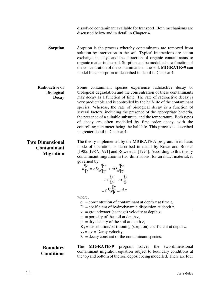dissolved contaminant available for transport. Both mechanisms are discussed below and in detail in Chapter 4.

**Sorption** Sorption is the process whereby contaminants are removed from solution by interaction in the soil. Typical interactions are cation exchange in clays and the attraction of organic contaminants to organic matter in the soil. Sorption can be modelled as a function of the concentration of the contaminants in the soil. **MIGRATEv9** can model linear sorption as described in detail in Chapter 4.

**Radioactive or Biological Decay** Some contaminant species experience radioactive decay or biological degradation and the concentration of these contaminants may decay as a function of time. The rate of radioactive decay is very predictable and is controlled by the half-life of the contaminant species. Whereas, the rate of biological decay is a function of several factors, including the presence of the appropriate bacteria, the presence of a suitable substrate, and the temperature. Both types of decay are often modelled by first order decay, with the controlling parameter being the half-life. This process is described in greater detail in Chapter 4.

#### **Two Dimensional Contaminant Migration**

The theory implemented by the MIGRATEv9 program, in its basic mode of operation, is described in detail by Rowe and Booker [1985, 1987, 1991] and Rowe et al [1994]. According to this theory contaminant migration in two-dimensions, for an intact material, is governed by:

$$
n\frac{\mathbb{q}_c}{\mathbb{q}_t} = nD_{xx}\frac{\mathbb{q}^2c}{\mathbb{q}_x^2} + nD_{zz}\frac{\mathbb{q}^2c}{\mathbb{q}_z^2}
$$

$$
- n\nu \frac{\mathbb{q}_c}{\mathbb{q}_x} - n\nu \frac{\mathbb{q}_c}{\mathbb{q}_z}
$$

$$
- pK_{a}\frac{\mathbb{q}_c}{\mathbb{q}_t} - n\lambda c
$$

where,

 $c =$  concentration of contaminant at depth z at time t,

 $D =$  coefficient of hydrodynamic dispersion at depth z,

- $v =$  groundwater (seepage) velocity at depth z,
- $n =$  porosity of the soil at depth z,

 $\rho$  = dry density of the soil at depth z,

 $K_d$  = distribution/partitioning (sorption) coefficient at depth z,

 $v_a = nv = Darcy velocity,$ 

 $\lambda$  = decay constant of the contaminant species.

**Boundary Conditions** The **MIGRATEv9** program solves the two-dimensional contaminant migration equation subject to boundary conditions at the top and bottom of the soil deposit being modelled. There are four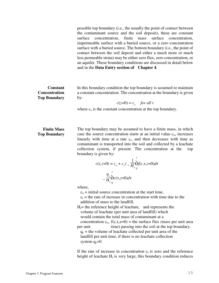possible top boundary (i.e., the usually the point of contact between the contaminant source and the soil deposit), these are constant surface concentration, finite mass surface concentration, impermeable surface with a buried source, or a zero concentration surface with a buried source. The bottom boundary (i.e., the point of contact between the soil deposit and either a much more or much less permeable strata) may be either zero flux, zero concentration, or an aquifer. These boundary conditions are discussed in detail below and in the **Data Entry section of Chapter 4**.

#### **Constant Concentration Top Boundary**

In this boundary condition the top boundary is assumed to maintain a constant concentration. The concentration at the boundary is given by:

$$
c(z=0) = c_s \quad \text{for all } t
$$

where  $c_s$  is the constant concentration at the top boundary.

#### **Finite Mass Top Boundary**

The top boundary may be assumed to have a finite mass, in which case the source concentration starts at an initial value  $c_0$ , increases linearly with time at a rate  $c_r$ , and then decreases with time as contaminant is transported into the soil and collected by a leachate collection system, if present. The concentration at the top boundary is given by:

$$
c(t, z=0) = c_o + c_r t - \frac{1}{H_r} \int_0^t f(c, \tau, z=0) d\tau
$$

$$
-\frac{q_c}{H_r} \int_0^t c(\tau, z=0) d\tau
$$

where,

 $c<sub>o</sub>$  = initial source concentration at the start time,

 $c_r$  = the rate of increase in concentration with time due to the addition of mass to the landfill,

 $H<sub>r</sub>$ = the reference height of leachate, and represents the volume of leachate (per unit area of landfill) which would contain the total mass of contaminant at a concentration  $c_0$ ,  $f(c, \tau, z=0)$  = the surface flux (mass per unit area per unit time) passing into the soil at the top boundary,  $q_c$  = the volume of leachate collected per unit area of the landfill per unit time, if there is no leachate collection system  $q_c=0$ .

If the rate of increase in concentration  $c<sub>r</sub>$  is zero and the reference height of leachate  $H_r$  is very large, this boundary condition reduces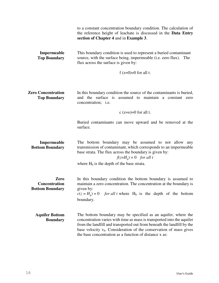|                                                  | to a constant concentration boundary condition. The calculation of<br>the reference height of leachate is discussed in the Data Entry<br>section of Chapter 4 and in Example 3.                                                                                                                                                                     |
|--------------------------------------------------|-----------------------------------------------------------------------------------------------------------------------------------------------------------------------------------------------------------------------------------------------------------------------------------------------------------------------------------------------------|
| Impermeable<br><b>Top Boundary</b>               | This boundary condition is used to represent a buried contaminant<br>source, with the surface being, impermeable (i.e. zero flux).<br>The<br>flux across the surface is given by:                                                                                                                                                                   |
|                                                  | f $(z=0)=0$ for all t.                                                                                                                                                                                                                                                                                                                              |
| <b>Zero Concentration</b><br><b>Top Boundary</b> | In this boundary condition the source of the contaminants is buried,<br>and the surface is assumed to maintain a constant zero<br>concentration; <i>i.e.</i>                                                                                                                                                                                        |
|                                                  | $c(z=0)=0$ for all t.                                                                                                                                                                                                                                                                                                                               |
|                                                  | Buried contaminants can move upward and be removed at the<br>surface.                                                                                                                                                                                                                                                                               |
| Impermeable<br><b>Bottom Boundary</b>            | The bottom boundary may be assumed to not allow any<br>transmission of contaminant, which corresponds to an impermeable<br>base strata. The flux across the boundary is given by:<br>$f(z=H_h) = 0$ for all t                                                                                                                                       |
|                                                  | where $H_b$ is the depth of the base strata.                                                                                                                                                                                                                                                                                                        |
| Zero<br>Concentration<br><b>Bottom Boundary</b>  | In this boundary condition the bottom boundary is assumed to<br>maintain a zero concentration. The concentration at the boundary is<br>given by:<br>$c(z = H_h) = 0$<br><i>for all t</i> where $H_b$ is the depth of the bottom<br>boundary.                                                                                                        |
| <b>Aquifer Bottom</b><br><b>Boundary</b>         | The bottom boundary may be specified as an aquifer, where the<br>concentration varies with time as mass is transported into the aquifer<br>from the landfill and transported out from beneath the landfill by the<br>base velocity $vb$ . Consideration of the conservation of mass gives<br>the base concentration as a function of distance x as: |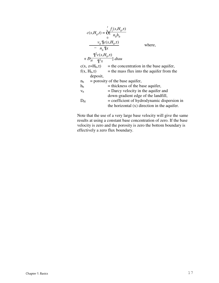| $c(x, H_b, t) = \overleftarrow{\mathop{\rm of}\nolimits} \frac{f_z(x, H_b, \tau)}{n_b h_b}$ |                                                              |
|---------------------------------------------------------------------------------------------|--------------------------------------------------------------|
| $\frac{v_b \,\sqrt{\mathbb{I}} c(x, H_b, \tau)}{- n_b \,\sqrt{\mathbb{I}} x}$               | where,                                                       |
| $+\stackrel{\mathbb{q}^2c(x,H_b,\tau)}{\longrightarrow}\text{d}tau$                         |                                                              |
|                                                                                             | $c(x, z=H_b, \tau)$ = the concentration in the base aquifer, |
|                                                                                             | $f(x, H_b, \tau)$ = the mass flux into the aquifer from the  |
| deposit,                                                                                    |                                                              |
| $n_{h}$                                                                                     | $=$ porosity of the base aquifer,                            |
| $h_{\rm b}$                                                                                 | $=$ thickness of the base aquifer,                           |
| V <sub>b</sub>                                                                              | $=$ Darcy velocity in the aquifer and                        |
|                                                                                             | down-gradient edge of the landfill,                          |
| $D_{\rm H}$                                                                                 | $=$ coefficient of hydrodynamic dispersion in                |
|                                                                                             | the horizontal $(x)$ direction in the aquifer.               |

Note that the use of a very large base velocity will give the same results at using a constant base concentration of zero. If the base velocity is zero and the porosity is zero the bottom boundary is effectively a zero flux boundary.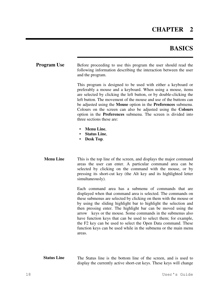### **CHAPTER 2**

### **BASICS**

| <b>Program Use</b> | Before proceeding to use this program the user should read the    |
|--------------------|-------------------------------------------------------------------|
|                    | following information describing the interaction between the user |
|                    | and the program.                                                  |

This program is designed to be used with either a keyboard or preferably a mouse and a keyboard. When using a mouse, items are selected by clicking the left button, or by double-clicking the left button. The movement of the mouse and use of the buttons can be adjusted using the **Mouse** option in the **Preferences** submenu. Colours on the screen can also be adjusted using the **Colours** option in the **Preferences** submenu. The screen is divided into three sections these are:

- **Menu Line**,
- **Status Line**,
- **Desk Top**.
- **Menu Line** This is the top line of the screen, and displays the major command areas the user can enter. A particular command area can be selected by clicking on the command with the mouse, or by pressing its short-cut key (the Alt key and its highlighted letter simultaneously).

Each command area has a submenu of commands that are displayed when that command area is selected. The commands on these submenus are selected by clicking on them with the mouse or by using the sliding highlight bar to highlight the selection and then pressing enter. The highlight bar can be moved using the arrow keys or the mouse. Some commands in the submenus also have function keys that can be used to select them; for example, the F2 key can be used to select the Open Data command. These function keys can be used while in the submenu or the main menu areas.

**Status Line** The Status line is the bottom line of the screen, and is used to display the currently active short-cut keys. These keys will change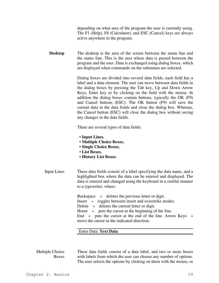| depending on what area of the program the user is currently using. |
|--------------------------------------------------------------------|
| The F1 (Help), F8 (Calculator), and ESC (Cancel) keys are always   |
| active anywhere in the program.                                    |

**Desktop** The desktop is the area of the screen between the menu line and the status line. This is the area where data is passed between the program and the user. Data is exchanged using dialog boxes, which are displayed when commands on the submenus are selected.

> Dialog boxes are divided into several data fields, each field has a label and a data element. The user can move between data fields in the dialog boxes by pressing the Tab key, Up and Down Arrow Keys, Enter key or by clicking on the field with the mouse. In addition the dialog boxes contain buttons, typically the OK (F9) and Cancel buttons (ESC). The OK button (F9) will save the current data in the data fields and close the dialog box. Whereas, the Cancel button (ESC) will close the dialog box without saving any changes in the data fields.

There are several types of data fields:

- **Input Lines**,
- **Multiple Choice Boxes**,
- **Single Choice Boxes**,
- **List Boxes**,
- **History List Boxes**.
- Input Lines These data fields consist of a label specifying the data name, and a highlighted box where the data can be entered and displayed. The data is entered and changed using the keyboard in a similar manner to a typewriter, where:

Backspace » deletes the previous letter or digit. Insert » toggles between insert and overstrike modes. Delete » deletes the current letter or digit. Home » puts the cursor at the beginning of the line. End » puts the cursor at the end of the line. Arrow Keys » move the cursor in the indicated direction.

#### Enter Data: **Text Data**

Multiple Choice Boxes These data fields consist of a data label, and two or more boxes with labels from which the user can choose any number of options. The user selects the options by clicking on them with the mouse, or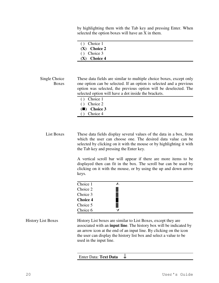by highlighting them with the Tab key and pressing Enter. When selected the option boxes will have an X in them.

| $()$ Choice 1  |  |  |
|----------------|--|--|
| $(X)$ Choice 2 |  |  |
| $()$ Choice 3  |  |  |
| $(X)$ Choice 4 |  |  |

| Single Choice | These data fields are similar to multiple choice boxes, except only |
|---------------|---------------------------------------------------------------------|
| <b>Boxes</b>  | one option can be selected. If an option is selected and a previous |
|               | option was selected, the previous option will be deselected. The    |
|               | selected option will have a dot inside the brackets.                |
|               | Choice 1<br>( )                                                     |
|               | Choice 2<br>( )                                                     |
|               | $(\blacksquare)$ Choice 3                                           |

( ) Choice 4

List Boxes These data fields display several values of the data in a box, from which the user can choose one. The desired data value can be selected by clicking on it with the mouse or by highlighting it with the Tab key and pressing the Enter key.

> A vertical scroll bar will appear if there are more items to be displayed then can fit in the box. The scroll bar can be used by clicking on it with the mouse, or by using the up and down arrow keys.

| Choice 1        |    |  |
|-----------------|----|--|
| Choice 2        | ▓▓ |  |
| Choice 3        |    |  |
| <b>Choice 4</b> |    |  |
| Choice 5        | ▓▓ |  |
| Choice 6        |    |  |

History List Boxes History List boxes are similar to List Boxes, except they are associated with an **input line**. The history box will be indicated by an arrow icon at the end of an input line. By clicking on the icon the user can display the history list box and select a value to be used in the input line.

#### Enter Data: **Text Data** ↓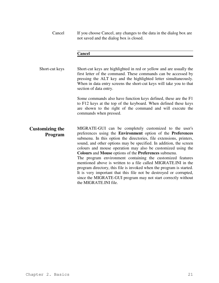Cancel If you choose Cancel, any changes to the data in the dialog box are not saved and the dialog box is closed.

#### **Cancel**

Short-cut keys Short-cut keys are highlighted in red or yellow and are usually the first letter of the command. These commands can be accessed by pressing the ALT key and the highlighted letter simultaneously. When in data entry screens the short-cut keys will take you to that section of data entry.

> Some commands also have function keys defined, these are the F1 to F12 keys at the top of the keyboard. When defined these keys are shown to the right of the command and will execute the commands when pressed.

**Customizing the Program** MIGRATE-GUI can be completely customized to the user's preferences using the **Environment** option of the **Preferences** submenu. In this option the directories, file extensions, printers, sound, and other options may be specified. In addition, the screen colours and mouse operation may also be customized using the **Colours** and **Mouse** options of the **Preferences** submenu.

The program environment containing the customized features mentioned above is written to a file called MIGRATE.INI in the program directory, this file is invoked when the program is started. It is very important that this file not be destroyed or corrupted, since the MIGRATE-GUI program may not start correctly without the MIGRATE.INI file.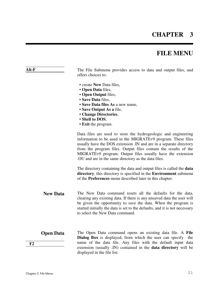### **CHAPTER 3**

### **FILE MENU**

| Alt-F                  | The File Submenu provides access to data and output files, and<br>offers choices to:                                                                                                                                                                                                                                                                                                            |
|------------------------|-------------------------------------------------------------------------------------------------------------------------------------------------------------------------------------------------------------------------------------------------------------------------------------------------------------------------------------------------------------------------------------------------|
|                        | • create New Data files,<br>• Open Data files,<br>• Open Output files,<br>· Save Data files,<br>• Save Data files As a new name,<br>• Save Output As a file,<br>• Change Directories,<br>• Shell to DOS,<br>• Exit the program.                                                                                                                                                                 |
|                        | Data files are used to store the hydrogeologic and engineering<br>information to be used in the MIGRATEv9 program. These files<br>usually have the DOS extension . IN and are in a separate directory<br>from the program files. Output files contain the results of the<br>MIGRATEv9 program. Output files usually have the extension<br>. OU and are in the same directory as the data files. |
|                        | The directory containing the data and output files is called the <b>data</b><br>directory, this directory is specified in the Environment submenu<br>of the <b>Preferences</b> menu described later in this chapter.                                                                                                                                                                            |
| <b>New Data</b>        | The New Data command resets all the defaults for the data,<br>clearing any existing data. If there is any unsaved data the user will<br>be given the opportunity to save the data. When the program is<br>started initially the data is set to the defaults, and it is not necessary<br>to select the New Data command.                                                                         |
| <b>Open Data</b><br>F2 | The Open Data command opens an existing data file. A File<br><b>Dialog Box</b> is displayed, from which the user can specify<br>the<br>name of the data file. Any files with the default input data<br>extension (usually .IN) contained in the data directory will be<br>displayed in the file list.                                                                                           |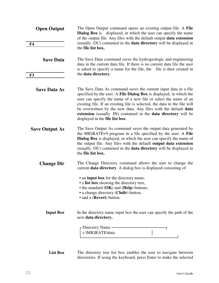| <b>Open Output</b>    | The Open Output command opens an existing output file. A File<br><b>Dialog Box</b> is displayed, in which the user can specify the name<br>of the output file. Any files with the default output <b>data extension</b>                                                                                                                                                                                                                                           |
|-----------------------|------------------------------------------------------------------------------------------------------------------------------------------------------------------------------------------------------------------------------------------------------------------------------------------------------------------------------------------------------------------------------------------------------------------------------------------------------------------|
| F <sub>4</sub>        | (usually .OU) contained in the <b>data directory</b> will be displayed in<br>the file list box.                                                                                                                                                                                                                                                                                                                                                                  |
| <b>Save Data</b>      | The Save Data command saves the hydrogeologic and engineering<br>data in the current data file. If there is no current data file the user<br>is asked to specify a name for the file, the file is then created in                                                                                                                                                                                                                                                |
| F3                    | the data directory.                                                                                                                                                                                                                                                                                                                                                                                                                                              |
| <b>Save Data As</b>   | The Save Data As command saves the current input data in a file<br>specified by the user. A File Dialog Box is displayed, in which the<br>user can specify the name of a new file or select the name of an<br>existing file. If an existing file is selected, the data in the file will<br>be overwritten by the new data. Any files with the default data<br>extension (usually .IN) contained in the data directory will be<br>displayed in the file list box. |
| <b>Save Output As</b> | The Save Output As command saves the output data generated by<br>the MIGRATEv9 program in a file specified by the user. A File<br><b>Dialog Box</b> is displayed, in which the user can specify the name of<br>the output file. Any files with the default output data extension<br>(usually .OU) contained in the data directory will be displayed in<br>the file list box.                                                                                     |
| <b>Change Dir</b>     | The Change Directory command allows the user to change the<br>current <b>data directory</b> . A dialog box is displayed consisting of:                                                                                                                                                                                                                                                                                                                           |
|                       | • an input box for the directory name,<br>• a list box showing the directory tree,<br>• the standard $(OK)$ and $(Help)$ buttons,<br>• a change directory (Chdir) button,<br>• and a (Revert) button.                                                                                                                                                                                                                                                            |
| <b>Input Box</b>      | In the directory name input box the user can specify the path of the<br>new data directory.                                                                                                                                                                                                                                                                                                                                                                      |
|                       | - Directory Name -<br>c:\MIGRATE\data                                                                                                                                                                                                                                                                                                                                                                                                                            |
|                       |                                                                                                                                                                                                                                                                                                                                                                                                                                                                  |

List Box The directory tree list box enables the user to navigate between directories. If using the keyboard, press Enter to make the selected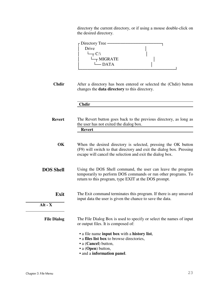directory the current directory, or if using a mouse double-click on the desired directory.



**Chdir** After a directory has been entered or selected the (Chdir) button changes the **data directory** to this directory.

| Chdir |
|-------|
|-------|

- **Revert** The Revert button goes back to the previous directory, as long as the user has not exited the dialog box.  **Revert**
- **OK** When the desired directory is selected, pressing the OK button (F9) will switch to that directory and exit the dialog box. Pressing escape will cancel the selection and exit the dialog box.
- **DOS Shell** Using the DOS Shell command, the user can leave the program temporarily to perform DOS commands or run other programs. To return to this program, type EXIT at the DOS prompt.
	- **Exit** The Exit command terminates this program. If there is any unsaved input data the user is given the chance to save the data.

 **Alt - X** 

#### File Dialog The File Dialog Box is used to specify or select the names of input or output files. It is composed of:

- a file name **input box** with a **history list**,
- a **files list box** to browse directories,
- a (**Cancel**) button,
- a (**Open**) button,
- and a **information panel**.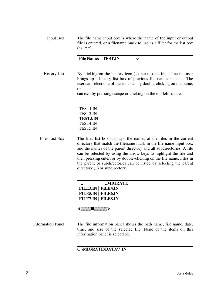| Input Box | The file name input box is where the name of the input or output        |
|-----------|-------------------------------------------------------------------------|
|           | file is entered, or a filename mask to use as a filter for the list box |
|           | $(ex. * *).$                                                            |

| <b>TEST.IN</b><br><b>File Name:</b> |  |  |
|-------------------------------------|--|--|
|-------------------------------------|--|--|

History List By clicking on the history icon  $(\Downarrow)$  next to the input line the user brings up a history list box of previous file names selected. The user can select one of these names by double-clicking on the name, or

can exit by pressing escape or clicking on the top left square.

| TEST1.IN        |  |  |
|-----------------|--|--|
| TEST2.IN        |  |  |
| <b>TEST3.IN</b> |  |  |
| TEST4.IN        |  |  |
| TEST5.IN        |  |  |

Files List Box The files list box displays' the names of the files in the current directory that match the filename mask in the file name input box, and the names of the parent directory and all subdirectories. A file can be selected by using the arrow keys to highlight the file and then pressing enter, or by double-clicking on the file name. Files in the parent or subdirectories can be listed by selecting the parent directory (..) or subdirectory.

| $\bullet\bullet$ | MIGRATE             |
|------------------|---------------------|
|                  | FILE3.IN   FILE4.IN |
|                  | FILE5.IN   FILE6.IN |
|                  | FILE7.IN   FILE8.IN |
|                  |                     |

Information Panel The file information panel shows the path name, file name, date, time, and size of the selected file. None of the items on this information panel is selectable.

#### **C:\MIGRATE\DATA\\*.IN**

▒▒▒▒▒▒▒▒▒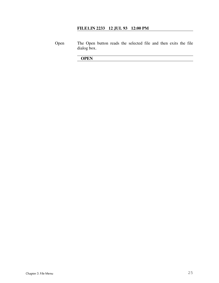#### **FILE1.IN 2233 12 JUL 93 12:00 PM**

Open The Open button reads the selected file and then exits the file dialog box.

 **OPEN**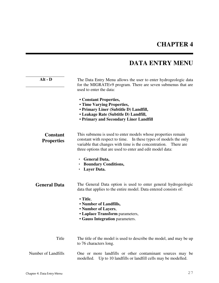### **DATA ENTRY MENU**

| $Alt - D$                            | The Data Entry Menu allows the user to enter hydrogeologic data<br>for the MIGRATEv9 program. There are seven submenus that are                                                                                                                                        |  |  |  |  |
|--------------------------------------|------------------------------------------------------------------------------------------------------------------------------------------------------------------------------------------------------------------------------------------------------------------------|--|--|--|--|
|                                      | used to enter the data:                                                                                                                                                                                                                                                |  |  |  |  |
|                                      | • Constant Properties,<br>• Time Varying Properties,<br>• Primary Liner (Subtitle D) Landfill,<br>• Leakage Rate (Subtitle D) Landfill,<br>• Primary and Secondary Liner Landfill                                                                                      |  |  |  |  |
| <b>Constant</b><br><b>Properties</b> | This submenu is used to enter models whose properties remain<br>constant with respect to time.<br>In these types of models the only<br>variable that changes with time is the concentration.<br>There are<br>three options that are used to enter and edit model data: |  |  |  |  |
|                                      | · General Data,<br>• Boundary Conditions,<br>Layer Data.                                                                                                                                                                                                               |  |  |  |  |
| <b>General Data</b>                  | The General Data option is used to enter general hydrogeologic<br>data that applies to the entire model. Data entered consists of:                                                                                                                                     |  |  |  |  |
|                                      | • Title,<br>• Number of Landfills,<br>• Number of Layers,<br>• Laplace Transform parameters,<br><b>• Gauss Integration</b> parameters.                                                                                                                                 |  |  |  |  |
| Title                                | The title of the model is used to describe the model, and may be up<br>to 76 characters long.                                                                                                                                                                          |  |  |  |  |
| Number of Landfills                  | One or more landfills or other contaminant sources may be<br>modelled.<br>Up to 10 landfills or landfill cells may be modelled.                                                                                                                                        |  |  |  |  |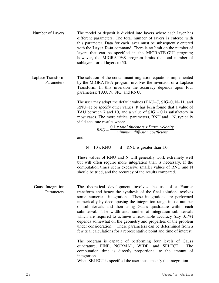- Number of Layers The model or deposit is divided into layers where each layer has different parameters. The total number of layers is entered with this parameter. Data for each layer must be subsequently entered with the **Layer Data** command. There is no limit on the number of layers that can be specified in the MIGRATE-GUI program; however, the MIGRATEv9 program limits the total number of sublayers for all layers to 50.
- Laplace Transform Parameters The solution of the contaminant migration equations implemented by the MIGRATEv9 program involves the inversion of a Laplace Transform. In this inversion the accuracy depends upon four parameters: TAU, N, SIG, and RNU.

The user may adopt the default values (TAU=7, SIG=0, N=11, and RNU=1) or specify other values. It has been found that a value of TAU between 7 and 10, and a value of  $SIG = 0$  is satisfactory in most cases. The more critical parameters, RNU and N, typically yield accurate results when:

> *RNU* = 0.1 *x total thickness x Darcy velocity minimum diffusion coefficient*

and

 $N = 10$  x RNU if RNU is greater than 1.0.

These values of RNU and N will generally work extremely well but will often require more integration than is necessary. If the computation times seem excessive smaller values of RNU and N should be tried, and the accuracy of the results compared.

Gauss Integration **Parameters** The theoretical development involves the use of a Fourier transform and hence the synthesis of the final solution involves some numerical integration. These integrations are performed numerically by decomposing the integration range into a number of subintervals and then using Gauss quadrature within each subinterval. The width and number of integration subintervals which are required to achieve a reasonable accuracy (say  $0.1\%$ ) depends somewhat on the geometry and properties of the problem under consideration. These parameters can be determined from a few trial calculations for a representative point and time of interest.

> The program is capable of performing four levels of Gauss quadrature, FINE, NORMAL, WIDE, and SELECT. The computation time is directly proportional to the amount of integration.

When SELECT is specified the user must specify the integration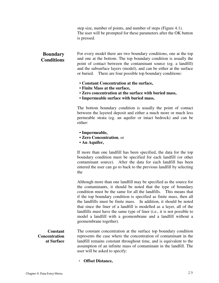step size, number of points, and number of steps (Figure 4.1). The user will be prompted for these parameters after the OK button is pressed.

### **Boundary Conditions**

For every model there are two boundary conditions, one at the top and one at the bottom. The top boundary condition is usually the point of contact between the contaminant source (eg. a landfill) and the subsurface layers (model), and can be either at the surface or buried. There are four possible top boundary conditions:

- **Constant Concentration at the surface,**
- **Finite Mass at the surface,**
- • **Zero concentration at the surface with buried mass,**
- **Impermeable surface with buried mass,**

The bottom boundary condition is usually the point of contact between the layered deposit and either a much more or much less permeable strata (eg. an aquifer or intact bedrock) and can be either:

- **Impermeable,**
- **Zero Concentration**, or
- **An Aquifer,**

If more than one landfill has been specified, the data for the top boundary condition must be specified for each landfill (or other contaminant source). After the data for each landfill has been entered the user can go to back to the previous landfill by selecting the

Although more than one landfill may be specified as the source for the contaminants, it should be noted that the type of boundary condition must be the same for all the landfills. This means that if the top boundary condition is specified as finite mass, then all the landfills must be finite mass. In addition, it should be noted that since the liner of a landfill is modelled as a layer, all of the landfills must have the same type of liner (i.e., it is not possible to model a landfill with a geomembrane and a landfill without a geomembrane together).

**Constant Concentration at Surface** The constant concentration at the surface top boundary condition represents the case where the concentration of contaminant in the landfill remains constant throughout time, and is equivalent to the assumption of an infinite mass of contaminant in the landfill. The user will be asked to specify:

#### • **Offset Distance,**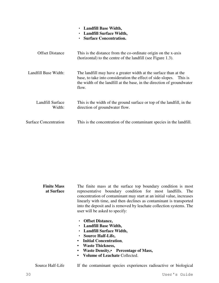|                              | Landfill Base Width,<br>$\bullet$<br>• Landfill Surface Width,<br><b>Surface Concentration.</b>                                                                                                                            |  |  |  |  |
|------------------------------|----------------------------------------------------------------------------------------------------------------------------------------------------------------------------------------------------------------------------|--|--|--|--|
| <b>Offset Distance</b>       | This is the distance from the co-ordinate origin on the x-axis<br>(horizontal) to the centre of the landfill (see Figure 1.3).                                                                                             |  |  |  |  |
| Landfill Base Width:         | The landfill may have a greater width at the surface than at the<br>base, to take into consideration the effect of side-slopes. This is<br>the width of the landfill at the base, in the direction of groundwater<br>flow. |  |  |  |  |
| Landfill Surface<br>Width:   | This is the width of the ground surface or top of the landfill, in the<br>direction of groundwater flow.                                                                                                                   |  |  |  |  |
| <b>Surface Concentration</b> | This is the concentration of the contaminant species in the landfill.                                                                                                                                                      |  |  |  |  |

#### **Finite Mass at Surface** The finite mass at the surface top boundary condition is most representative boundary condition for most landfills. The concentration of contaminant may start at an initial value, increases linearly with time, and then declines as contaminant is transported into the deposit and is removed by leachate collection systems. The user will be asked to specify:

- **Offset Distance,**
- **Landfill Base Width,**
- **Landfill Surface Width,**
- **Source Half-Life,**
- **Initial Concentration**,
- **Waste Thickness,**
- • **Waste Density, Percentage of Mass,**
- **Volume of Leachate** Collected.

Source Half-Life If the contaminant species experiences radioactive or biological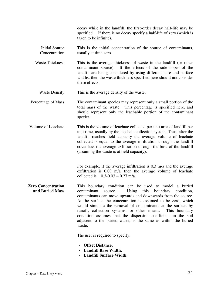decay while in the landfill, the first-order decay half-life may be specified. If there is no decay specify a half-life of zero (which is taken to be infinite).

- Initial Source Concentration This is the initial concentration of the source of contaminants, usually at time zero.
- Waste Thickness This is the average thickness of waste in the landfill (or other contaminant source). If the effects of the side-slopes of the landfill are being considered by using different base and surface widths, then the waste thickness specified here should not consider these effects.

Waste Density This is the average density of the waste.

- Percentage of Mass The contaminant species may represent only a small portion of the total mass of the waste. This percentage is specified here, and should represent only the leachable portion of the contaminant species.
- Volume of Leachate This is the volume of leachate collected per unit area of landfill per unit time, usually by the leachate collection system. Thus, after the landfill reaches field capacity the average volume of leachate collected is equal to the average infiltration through the landfill cover less the average exfiltration through the base of the landfill (assuming the waste is at field capacity).

For example, if the average infiltration is 0.3 m/a and the average exfiltration is 0.03 m/a, then the average volume of leachate collected is  $0.3 - 0.03 = 0.27$  m/a.

**Zero Concentration and Buried Mass** This boundary condition can be used to model a buried contaminant source. Using this boundary condition, contaminants can move upwards and downwards from the source. At the surface the concentration is assumed to be zero, which would simulate the removal of contaminants at the surface by runoff, collection systems, or other means. This boundary condition assumes that the dispersion coefficient in the soil adjacent to the buried waste, is the same as within the buried waste.

The user is required to specify:

- **Offset Distance,**
- **Landfill Base Width,**
- **Landfill Surface Width.**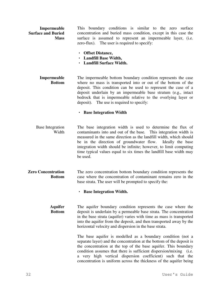| Impermeable               |  | This boundary conditions is similar to the zero surface          |  |  |  |
|---------------------------|--|------------------------------------------------------------------|--|--|--|
| <b>Surface and Buried</b> |  | concentration and buried mass condition, except in this case the |  |  |  |
| <b>Mass</b>               |  | surface is assumed to represent an impermeable layer, (i.e.      |  |  |  |
|                           |  | zero-flux). The user is required to specify:                     |  |  |  |

- **Offset Distance,**
- **Landfill Base Width,**
- **Landfill Surface Width.**

**Impermeable Bottom**  The impermeable bottom boundary condition represents the case where no mass is transported into or out of the bottom of the deposit. This condition can be used to represent the case of a deposit underlain by an impermeable base stratum (e.g., intact bedrock that is impermeable relative to the overlying layer or deposit). The use is required to specify:

#### • **Base Integration Width**

- Base Integration Width The base integration width is used to determine the flux of contaminants into and out of the base. This integration width is measured in the same direction as the landfill width, which should be in the direction of groundwater flow. Ideally the base integration width should be infinite; however, to limit computing time typical values equal to six times the landfill base width may be used.
- **Zero Concentration Bottom** The zero concentration bottom boundary condition represents the case where the concentration of contaminant remains zero in the base strata. The user will be prompted to specify the:

#### • **Base Integration Width.**

**Aquifer Bottom** The aquifer boundary condition represents the case where the deposit is underlain by a permeable base strata. The concentration in the base strata (aquifer) varies with time as mass is transported into the aquifer from the deposit, and then transported away by the horizontal velocity and dispersion in the base strata.

> The base aquifer is modelled as a boundary condition (not a separate layer) and the concentration at the bottom of the deposit is the concentration at the top of the base aquifer. This boundary condition assumes that there is sufficient dispersion/mixing (i.e. a very high vertical dispersion coefficient) such that the concentration is uniform across the thickness of the aquifer being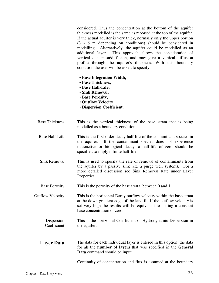considered. Thus the concentration at the bottom of the aquifer thickness modelled is the same as reported at the top of the aquifer. If the actual aquifer is very thick, normally only the upper portion (3 - 6 m depending on conditions) should be considered in modelling. Alternatively, the aquifer could be modelled as an additional layer. This approach allows the consideration of vertical dispersion\diffusion, and may give a vertical diffusion profile through the aquifer's thickness. With this boundary condition the user will be asked to specify:

- **Base Integration Width,**
- **Base Thickness,**
- **Base Half-Life,**
- **Sink Removal,**
- • **Base Porosity,**
- **Outflow Velocity,**
- **Dispersion Coefficient.**
- Base Thickness This is the vertical thickness of the base strata that is being modelled as a boundary condition.
- Base Half-Life This is the first-order decay half-life of the contaminant species in the aquifer. If the contaminant species does not experience radioactive or biological decay, a half-life of zero should be specified to imply infinite half-life.
- Sink Removal This is used to specify the rate of removal of contaminants from the aquifer by a passive sink (ex. a purge well system). For a more detailed discussion see Sink Removal Rate under Layer Properties.
- Base Porosity This is the porosity of the base strata, between 0 and 1.

Outflow Velocity This is the horizontal Darcy outflow velocity within the base strata at the down-gradient edge of the landfill. If the outflow velocity is set very high the results will be equivalent to setting a constant base concentration of zero.

- Dispersion Coefficient This is the horizontal Coefficient of Hydrodynamic Dispersion in the aquifer.
- **Layer Data** The data for each individual layer is entered in this option, the data for all the **number of layers** that was specified in the **General Data** command should be input.

Continuity of concentration and flux is assumed at the boundary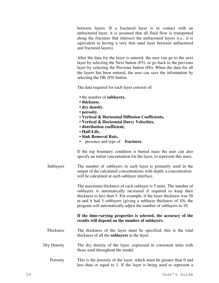between layers. If a fractured layer is in contact with an unfractured layer, it is assumed that all fluid flow is transported along the fractures that intersect the unfractured layers (i.e., it is equivalent to having a very thin sand layer between unfractured and fractured layers).

After the data for the layer is entered, the user can go to the next layer by selecting the Next button (F5), or go back to the previous layer by selecting the Previous button (F6). When the data for all the layers has been entered, the user can save the information by selecting the OK (F9) button.

The data required for each layer consists of:

- the number of **sublayers**,
- **thickness**,
- **dry density**,
- **porosity**,
- **Vertical & Horizontal Diffusion Coefficients,**
- **Vertical & Horizontal Darcy Velocities,**
- **distribution coefficient,**
- • **Half-Life,**
- **Sink Removal Rate,**
- presence and type of **fractures**.

If the top boundary condition is buried mass the user can also specify an initial concentration for the layer, to represent this mass.

Sublayers The number of sublayers in each layer is primarily used in the output of the calculated concentrations with depth; a concentration will be calculated at each sublayer interface.

> The maximum thickness of each sublayer is 5 units. The number of sublayers is automatically increased if required to keep their thickness to less than 5. For example, if the layer thickness was 50 m and it had 5 sublayers (giving a sublayer thickness of 10), the program will automatically adjust the number of sublayers to 10.

#### **If the time-varying properties is selected, the accuracy of the results will depend on the number of sublayers.**

- Thickness The thickness of the layer must be specified, this is the total thickness of all the **sublayers** in the layer.
- Dry Density The dry density of the layer, expressed in consistent units with those used throughout the model.
	- Porosity This is the porosity of the layer, which must be greater than 0 and less than or equal to 1. If the layer is being used to represent a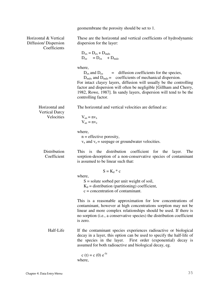geomembrane the porosity should be set to 1.

Horizontal & Vertical Diffusion/ Dispersion **Coefficients** 

These are the horizontal and vertical coefficients of hydrodynamic dispersion for the layer:

$$
D_{xx} = D_{ex} + D_{mdx}
$$
  

$$
D_{zz} = D_{ex} + D_{mdz}
$$

where,

 $D_{ex}$  and  $D_{ez}$  = diffusion coefficients for the species,

 $D_{\text{mdx}}$  and  $D_{\text{mdz}} =$  coefficients of mechanical dispersion.

For intact clayey layers, diffusion will usually be the controlling factor and dispersion will often be negligible [Gillham and Cherry, 1982, Rowe, 1987]. In sandy layers, dispersion will tend to be the controlling factor.

Horizontal and The horizontal and vertical velocities are defined as:

Vertical Darcy Velocities

 $V_{ax} = nv_x$  $V_{az} = nv_z$ 

where,

 $n =$  effective porosity,  $v_x$  and  $v_z$  = seepage or groundwater velocities.

Distribution Coefficient This is the distribution coefficient for the layer. The sorption-desorption of a non-conservative species of contaminant is assumed to be linear such that:

 $S = K_d * c$ 

where,

 $S =$  solute sorbed per unit weight of soil,  $K_d$  = distribution (partitioning) coefficient, c = concentration of contaminant.

This is a reasonable approximation for low concentrations of contaminant, however at high concentrations sorption may not be linear and more complex relationships should be used. If there is no sorption (i.e., a conservative species) the distribution coefficient is zero.

Half-Life If the contaminant species experiences radioactive or biological decay in a layer, this option can be used to specify the half-life of the species in the layer. First order (exponential) decay is assumed for both radioactive and biological decay, eg.

$$
c(t) = c(0) e^{-\lambda t}
$$
  
where,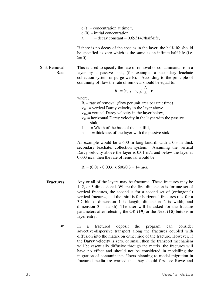$c(t)$  = concentration at time t,  $c(0) = initial concentration,$  $\lambda$  = decay constant = 0.693147/half-life,

If there is no decay of the species in the layer, the half-life should be specified as zero which is the same as an infinite half-life (i.e.  $\lambda = 0$ ).

Sink Removal Rate This is used to specify the rate of removal of contaminants from a layer by a passive sink, (for example, a secondary leachate collection system or purge wells). According to the principle of continuity of flow the rate of removal should be equal to:

$$
R_r = (v_{az1} - v_{az2}) \frac{L}{h} - v_{ax}
$$

where,

 $R_r$  = rate of removal (flow per unit area per unit time)

 $v_{\text{az1}}$  = vertical Darcy velocity in the layer above,

 $v_{\text{az2}}$  = vertical Darcy velocity in the layer below,

- $v_{ax}$  = horizontal Darcy velocity in the layer with the passive sink,
- $L =$  Width of the base of the landfill,
- $h$  = thickness of the layer with the passive sink.

An example would be a 600 m long landfill with a 0.3 m thick secondary leachate, collection system. Assuming the vertical Darcy velocity above the layer is 0.01 m/a and below the layer is 0.003 m/a, then the rate of removal would be:

 $R_r = (0.01 - 0.003) \times 600/0.3 = 14 \text{ m/a}.$ 

- **Fractures** Any or all of the layers may be fractured. These fractures may be 1, 2, or 3 dimensional. Where the first dimension is for one set of vertical fractures, the second is for a second set of (orthogonal) vertical fractures, and the third is for horizontal fractures (i.e. for a 3D block, dimension 1 is length, dimension 2 is width, and dimension 3 is depth). The user will be asked for the fracture parameters after selecting the OK (**F9**) or the Next (**F5**) buttons in layer entry.
	- In a fractured deposit the program can consider advective-dispersive transport along the fractures coupled with diffusion into the matrix on either side of the fracture. However, if the **Darcy velocity** is zero, or small, then the transport mechanism will be essentially diffusive through the matrix, the fractures will have no effect and should not be considered in modelling the migration of contaminants. Users planning to model migration in fractured media are warned that they should first see Rowe and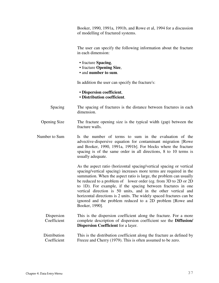Booker, 1990, 1991a, 1991b, and Rowe et al, 1994 for a discussion of modelling of fractured systems.

The user can specify the following information about the fracture in each dimension:

- fracture **Spacing**,
- fracture **Opening Size**,
- and **number to sum**.

In addition the user can specify the fracture's:

- **Dispersion coefficient**,
- **Distribution coefficient**.
- Spacing The spacing of fractures is the distance between fractures in each dimension.
- Opening Size The fracture opening size is the typical width (gap) between the fracture walls.
- Number to Sum Is the number of terms to sum in the evaluation of the advective-dispersive equation for contaminant migration [Rowe and Booker, 1990, 1991a, 1991b]. For blocks where the fracture spacing is of the same order in all directions, 8 to 10 terms is usually adequate.

As the aspect ratio (horizontal spacing/vertical spacing or vertical spacing/vertical spacing) increases more terms are required in the summation. When the aspect ratio is large, the problem can usually be reduced to a problem of lower order (eg. from 3D to 2D or 2D to 1D). For example, if the spacing between fractures in one vertical direction is 50 units, and in the other vertical and horizontal directions is 2 units. The widely spaced fractures can be ignored and the problem reduced to a 2D problem [Rowe and Booker, 1990].

- Dispersion Coefficient This is the dispersion coefficient along the fracture. For a more complete description of dispersion coefficient see the **Diffusion/ Dispersion Coefficient** for a layer.
- **Distribution** Coefficient This is the distribution coefficient along the fracture as defined by Freeze and Cherry (1979). This is often assumed to be zero.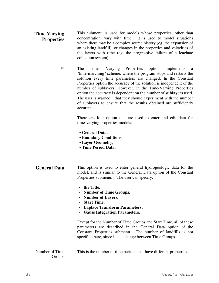- **Time Varying Properties** This submenu is used for models whose properties, other than concentration, vary with time. It is used to model situations where there may be a complex source history (eg. the expansion of an existing landfill), or changes in the properties and velocities of the layers with time (eg. the progressive failure of a leachate collection system).
	- The Time- Varying Properties option implements a "time-marching" scheme, where the program stops and restarts the solution every time parameters are changed. In the Constant Properties option the accuracy of the solution is independent of the number of sublayers. However, in the Time-Varying Properties option the accuracy is dependent on the number of **sublayers** used. The user is warned that they should experiment with the number of sublayers to ensure that the results obtained are sufficiently accurate.

There are four option that are used to enter and edit data for time-varying properties models:

- **General Data,**
- **Boundary Conditions,**
- **Layer Geometry,**
- **Time Period Data.**
- **General Data** This option is used to enter general hydrogeologic data for the model, and is similar to the General Data option of the Constant Properties submenu. The user can specify:
	- **the Title,**
	- **Number of Time Groups,**
	- **Number of Layers,**
	- **Start Time,**
	- **Laplace Transform Parameters,**
	- **Gauss Integration Parameters.**

Except for the Number of Time Groups and Start Time, all of these parameters are described in the General Data option of the Constant Properties submenu. The number of landfills is not specified here, since it can change between Time Groups.

#### Number of Time Groups This is the number of time periods that have different properties.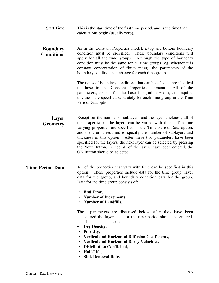Start Time This is the start time of the first time period, and is the time that calculations begin (usually zero).

#### **Boundary Conditions** As in the Constant Properties model, a top and bottom boundary condition must be specified. These boundary conditions will apply for all the time groups. Although the type of boundary condition must be the same for all time groups (eg. whether it is constant concentration of finite mass), the parameters of the boundary condition can change for each time group.

The types of boundary conditions that can be selected are identical to those in the Constant Properties submenu. All of the parameters, except for the base integration width, and aquifer thickness are specified separately for each time group in the Time Period Data option.

**Layer Geometry** Except for the number of sublayers and the layer thickness, all of the properties of the layers can be varied with time. The time varying properties are specified in the Time Period Data option, and the user is required to specify the number of sublayers and thickness in this option. After these two parameters have been specified for the layers, the next layer can be selected by pressing the Next Button. Once all of the layers have been entered, the OK Button should be selected.

### **Time Period Data** All of the properties that vary with time can be specified in this option. These properties include data for the time group, layer data for the group, and boundary condition data for the group. Data for the time group consists of:

- **End Time,**
- **Number of Increments,**
- **Number of Landfills.**

These parameters are discussed below, after they have been entered the layer data for the time period should be entered. This data consists of:

- **Dry Density,**
- **Porosity,**
- **Vertical and Horizontal Diffusion Coefficients,**
- **Vertical and Horizontal Darcy Velocities,**
- **Distribution Coefficient,**
- **Half-Life,**
- **Sink Removal Rate.**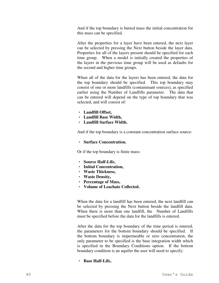And if the top boundary is buried mass the initial concentration for this mass can be specified.

After the properties for a layer have been entered, the next layer can be selected by pressing the Next button beside the layer data. Properties for all of the layers present should be specified for each time group. When a model is initially created the properties of the layers in the previous time group will be used as defaults for the second and higher time groups.

When all of the data for the layers has been entered, the data for the top boundary should be specified. This top boundary may consist of one or more landfills (contaminant sources), as specified earlier using the Number of Landfills parameter. The data that can be entered will depend on the type of top boundary that was selected, and will consist of:

- **Landfill Offset,**
- **Landfill Base Width,**
- **Landfill Surface Width.**

And if the top boundary is a constant concentration surface source:

• **Surface Concentration.** 

Or if the top boundary is finite mass:

- **Source Half-Life,**
- **Initial Concentration,**
- **Waste Thickness,**
- **Waste Density,**
- **Percentage of Mass,**
- **Volume of Leachate Collected.**

When the data for a landfill has been entered, the next landfill can be selected by pressing the Next button beside the landfill data. When there is more than one landfill, the Number of Landfills must be specified before the data for the landfills is entered.

After the data for the top boundary of the time period is entered, the parameters for the bottom boundary should be specified. If the bottom boundary is impermeable or zero concentration, the only parameter to be specified is the base integration width which is specified in the Boundary Conditions option. If the bottom boundary condition is an aquifer the user will need to specify:

### • **Base Half-Life,**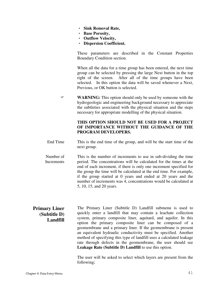- **Sink Removal Rate,**
- **Base Porosity,**
- **Outflow Velocity,**
- **Dispersion Coefficient.**

These parameters are described in the Constant Properties Boundary Condition section.

When all the data for a time group has been entered, the next time group can be selected by pressing the large Next button in the top right of the screen. After all of the time groups have been selected. In this option the data will be saved whenever a Next, Previous, or OK button is selected.

**WARNING:** This option should only be used by someone with the hydrogeologic and engineering background necessary to appreciate the subtleties associated with the physical situation and the steps necessary for appropriate modelling of the physical situation.

### **THIS OPTION SHOULD NOT BE USED FOR A PROJECT OF IMPORTANCE WITHOUT THE GUIDANCE OF THE PROGRAM DEVELOPERS.**

- End Time This is the end time of the group, and will be the start time of the next group.
- Number of **Increments**  This is the number of increments to use in sub-dividing the time period. The concentrations will be calculated for the times at the end of each increment, if there is only one increment specified for the group the time will be calculated at the end time. For example, if the group started at 0 years and ended at 20 years and the number of increments was 4, concentrations would be calculated at 5, 10, 15, and 20 years.

### **Primary Liner (Subtitle D) Landfill**

The Primary Liner (Subtitle D) Landfill submenu is used to quickly enter a landfill that may contain a leachate collection system, primary composite liner, aquitard, and aquifer. In this option the primary composite liner can be composed of a geomembrane and a primary liner. If the geomembrane is present an equivalent hydraulic conductivity must be specified. Another method of specifying this type of landfill uses a calculated leakage rate through defects in the geomembrane, the user should see **Leakage Rate (Subtitle D) Landfill** to use this option.

The user will be asked to select which layers are present from the following;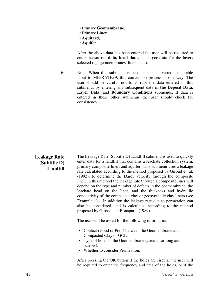- Primary **Geomembrane**,
- Primary **Liner** ,
- **Aquitard**,
- **Aquifer**.

After the above data has been entered the user will be required to enter the **source data, head data,** and **layer data** for the layers selected (eg. geomembranes, liners, etc.).

• Note: When this submenu is used data is converted to suitable input to MIGRATEv9, this conversion process is one way. The user should be careful not to corrupt the data entered in this submenu, by entering any subsequent data in **the Deposit Data, Layer Data,** and **Boundary Conditions** submenus**.** If data is entered in these other submenus the user should check for consistency.

### **Leakage Rate (Subtitle D) Landfill**

The Leakage Rate (Subtitle D) Landfill submenu is used to quickly enter data for a landfill that contains a leachate collection system, primary composite liner, and aquifer. This submenu uses a leakage rate calculated according to the method proposed by Giroud et. al. (1992), to determine the Darcy velocity through the composite liner. In this method the leakage rate through a composite liner will depend on the type and number of defects in the geomembrane, the leachate head on the liner, and the thickness and hydraulic conductivity of the compacted clay or geosynthetic clay liners (see Example 1). In addition the leakage rate due to permeation can also be considered, and is calculated according to the method proposed by Giroud and Bonaparte (1989).

The user will be asked for the following information;

- Contact (Good or Poor) between the Geomembrane and Compacted Clay or GCL,
- Type of holes in the Geomembrane (circular or long and narrow).
- Whether to consider Permeation.

After pressing the OK button if the holes are circular the user will be required to enter the frequency and area of the holes, or if the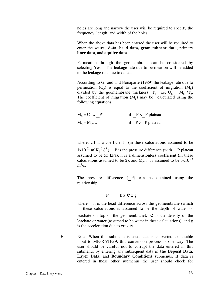holes are long and narrow the user will be required to specify the frequency, length, and width of the holes.

When the above data has been entered the user will be required to enter the **source data, head data, geomembrane data,** primary **liner data**, and **aquifer data**.

Permeation through the geomembrane can be considered by selecting Yes. The leakage rate due to permeation will be added to the leakage rate due to defects.

According to Giroud and Bonaparte (1989) the leakage rate due to permeation  $(Q_g)$  is equal to the coefficient of migration  $(M_g)$ divided by the geomembrane thickness  $(T_g)$ , i.e.  $Q_g = M_g / T_g$ . The coefficient of migration  $(M_g)$  may be calculated using the following equations:

| $M_g = C1 x$ $P^n$      |  | if $P < P$ plateau |
|-------------------------|--|--------------------|
| $M_g = M_{\text{gmax}}$ |  | if $P > P$ plateau |

where, C1 is a coefficient (in these calculations assumed to be  $1x10^{-22}$  m<sup>4</sup>K<sub>g</sub><sup>-2</sup> S<sup>3</sup>), P is the pressure difference (with P plateau assumed to be 55  $\overline{kPa}$ ), n is a dimensionless coefficient (in these calculations assumed to be 2), and  $M_{\text{gmax}}$  is assumed to be  $3x10^{-13}$  $m^2/s$ .

The pressure difference ( $P$ ) can be obtained using the relationship:

$$
P = \underline{h} x \mathbf{e} x g
$$

where h is the head difference across the geomembrane (which in these calculations is assumed to be the depth of water or leachate on top of the geomembrane),  $\hat{e}$  is the density of the leachate or water (assumed to be water in these calculations), and g is the acceleration due to gravity.

 Note: When this submenu is used data is converted to suitable input to MIGRATEv9, this conversion process is one way. The user should be careful not to corrupt the data entered in this submenu, by entering any subsequent data in **the Deposit Data, Layer Data,** and **Boundary Conditions** submenus. If data is entered in these other submenus the user should check for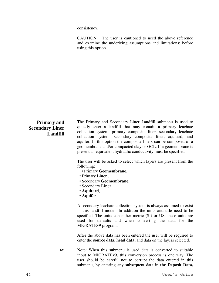consistency.

CAUTION: The user is cautioned to need the above reference and examine the underlying assumptions and limitations; before using this option.

## **Primary and Secondary Liner Landfill**

The Primary and Secondary Liner Landfill submenu is used to quickly enter a landfill that may contain a primary leachate collection system, primary composite liner, secondary leachate collection system, secondary composite liner, aquitard, and aquifer. In this option the composite liners can be composed of a geomembrane and/or compacted clay or GCL. If a geomembrane is present an equivalent hydraulic conductivity must be specified.

The user will be asked to select which layers are present from the following;

- Primary **Geomembrane**,
- Primary **Liner** ,
- Secondary **Geomembrane**,
- Secondary **Liner** ,
- **Aquitard**,
- **Aquifer**.

A secondary leachate collection system is always assumed to exist in this landfill model. In addition the units and title need to be specified. The units can either metric (SI) or US, these units are used for defaults and when converting the data for the MIGRATEv9 program.

After the above data has been entered the user will be required to enter the **source data, head data,** and data on the layers selected.

 Note: When this submenu is used data is converted to suitable input to MIGRATEv9, this conversion process is one way. The user should be careful not to corrupt the data entered in this submenu, by entering any subsequent data in **the Deposit Data,**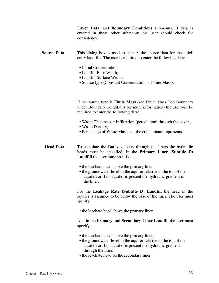**Layer Data,** and **Boundary Conditions** submenus. If data is entered in these other submenus the user should check for consistency.

**Source Data** This dialog box is used to specify the source data for the quick entry landfills. The user is required to enter the following data:

- Initial Concentration,
- Landfill Base Width,
- Landfill Surface Width,
- Source type (Constant Concentration or Finite Mass).

If the source type is **Finite Mass** (see Finite Mass Top Boundary under Boundary Conditions for more information) the user will be required to enter the following data:

- Waste Thickness, Infiltration (percolation) through the cover ,
- Waste Density,
- Percentage of Waste Mass that the contaminant represents.

**Head Data** To calculate the Darcy velocity through the liners the hydraulic heads must be specified. In the **Primary Liner (Subtitle D) Landfill** the user must specify:

- the leachate head above the primary liner,
- the groundwater level in the aquifer relative to the top of the aquifer, or if no aquifer is present the hydraulic gradient in the liner.

For the **Leakage Rate (Subtitle D) Landfill** the head in the aquifer is assumed to be below the base of the liner. The user must specify:

• the leachate head above the primary liner.

And in the **Primary and Secondary Liner Landfill** the user must specify:

- the leachate head above the primary liner,
- the groundwater level in the aquifer relative to the top of the aquifer, or if no aquifer is present the hydraulic gradient through the liner,
- the leachate head on the secondary liner.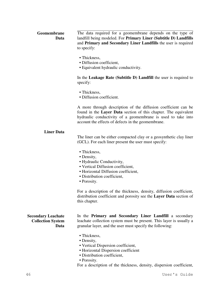#### **Geomembrane Data** The data required for a geomembrane depends on the type of landfill being modeled. For **Primary Liner (Subtitle D) Landfills** and **Primary and Secondary Liner Landfills** the user is required to specify:

- Thickness.
- Diffusion coefficient.
- Equivalent hydraulic conductivity.

In the **Leakage Rate (Subtitle D) Landfill** the user is required to specify:

- Thickness,
- Diffusion coefficient.

A more through description of the diffusion coefficient can be found in the **Layer Data** section of this chapter. The equivalent hydraulic conductivity of a geomembrane is used to take into account the effects of defects in the geomembrane.

### **Liner Data**

The liner can be either compacted clay or a geosynthetic clay liner (GCL). For each liner present the user must specify:

- Thickness,
- Density,
- Hydraulic Conductivity,
- Vertical Diffusion coefficient,
- Horizontal Diffusion coefficient,
- Distribution coefficient,
- Porosity.

For a description of the thickness, density, diffusion coefficient, distribution coefficient and porosity see the **Layer Data** section of this chapter.

**Secondary Leachate Collection System Data** In the **Primary and Secondary Liner Landfill** a secondary leachate collection system must be present. This layer is usually a granular layer, and the user must specify the following:

- Thickness,
- Density,
- Vertical Dispersion coefficient,
- Horizontal Dispersion coefficient
- Distribution coefficient,
- Porosity.

For a description of the thickness, density, dispersion coefficient,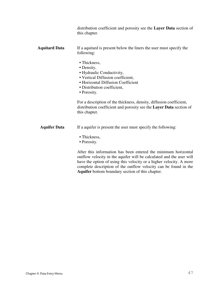distribution coefficient and porosity see the **Layer Data** section of this chapter.

### **Aquitard Data** If a aquitard is present below the liners the user must specify the following:

- Thickness,
- Density,
- Hydraulic Conductivity,
- Vertical Diffusion coefficient,
- Horizontal Diffusion Coefficient
- Distribution coefficient,
- Porosity.

For a description of the thickness, density, diffusion coefficient, distribution coefficient and porosity see the **Layer Data** section of this chapter.

- **Aquifer Data** If a aquifer is present the user must specify the following:
	- Thickness,
	- Porosity.

After this information has been entered the minimum horizontal outflow velocity in the aquifer will be calculated and the user will have the option of using this velocity or a higher velocity. A more complete description of the outflow velocity can be found in the **Aquifer** bottom boundary section of this chapter.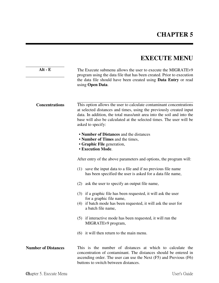# **EXECUTE MENU**

| $Alt - E$                  | The Execute submenu allows the user to execute the MIGRATE <sub>v9</sub><br>program using the data file that has been created. Prior to execution<br>the data file should have been created using <b>Data Entry</b> or read<br>using Open Data.                                                                                                                                                                                |  |
|----------------------------|--------------------------------------------------------------------------------------------------------------------------------------------------------------------------------------------------------------------------------------------------------------------------------------------------------------------------------------------------------------------------------------------------------------------------------|--|
| <b>Concentrations</b>      | This option allows the user to calculate contaminant concentrations<br>at selected distances and times, using the previously created input<br>data. In addition, the total mass/unit area into the soil and into the<br>base will also be calculated at the selected times. The user will be<br>asked to specify:<br>• Number of Distances and the distances<br>• Number of Times and the times,<br>• Graphic File generation, |  |
|                            | <b>• Execution Mode.</b>                                                                                                                                                                                                                                                                                                                                                                                                       |  |
|                            | After entry of the above parameters and options, the program will:                                                                                                                                                                                                                                                                                                                                                             |  |
|                            | (1) save the input data to a file and if no previous file name<br>has been specified the user is asked for a data file name,                                                                                                                                                                                                                                                                                                   |  |
|                            | (2) ask the user to specify an output file name,                                                                                                                                                                                                                                                                                                                                                                               |  |
|                            | (3) if a graphic file has been requested, it will ask the user<br>for a graphic file name,<br>(4) if batch mode has been requested, it will ask the user for<br>a batch file name,                                                                                                                                                                                                                                             |  |
|                            | (5) if interactive mode has been requested, it will run the<br>MIGRATEv9 program,                                                                                                                                                                                                                                                                                                                                              |  |
|                            | (6) it will then return to the main menu.                                                                                                                                                                                                                                                                                                                                                                                      |  |
| <b>Number of Distances</b> | This is the number of distances at which to calculate the<br>concentration of contaminant. The distances should be entered in<br>ascending order. The user can use the Next (F5) and Previous (F6)<br>buttons to switch between distances.                                                                                                                                                                                     |  |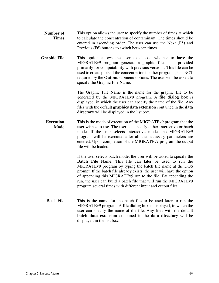- **Number of Times** This option allows the user to specify the number of times at which to calculate the concentration of contaminant. The times should be entered in ascending order. The user can use the Next (F5) and Previous (F6) buttons to switch between times.
- **Graphic File** This option allows the user to choose whether to have the MIGRATEv9 program generate a graphic file, it is provided primarily for computability with previous versions. This file can be used to create plots of the concentration in other programs, it is NOT required by the **Output** submenu options. The user will be asked to specify the Graphic File Name.

The Graphic File Name is the name for the graphic file to be generated by the MIGRATEv9 program. A **file dialog box** is displayed, in which the user can specify the name of the file. Any files with the default **graphics data extension** contained in the **data directory** will be displayed in the list box.

**Execution Mode** This is the mode of execution of the MIGRATEv9 program that the user wishes to use. The user can specify either interactive or batch mode. If the user selects interactive mode, the MIGRATEv9 program will be executed after all the necessary parameters are entered. Upon completion of the MIGRATEv9 program the output file will be loaded.

> If the user selects batch mode, the user will be asked to specify the **Batch File** Name. This file can later be used to run the MIGRATEv9 program by typing the batch file name at the DOS prompt. If the batch file already exists, the user will have the option of appending this MIGRATEv9 run to the file. By appending the run, the user can build a batch file that will run the MIGRATEv9 program several times with different input and output files.

Batch File This is the name for the batch file to be used later to run the MIGRATEv9 program. A **file dialog box** is displayed, in which the user can specify the name of the file. Any files with the default **batch data extension** contained in the **data directory** will be displayed in the list box.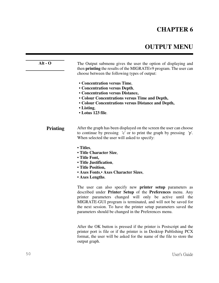# **CHAPTER 6**

# **OUTPUT MENU**

| $Alt - O$       | The Output submenu gives the user the option of displaying and<br>then <b>printing</b> the results of the MIGRATEv9 program. The user can<br>choose between the following types of output:<br>• Concentration versus Time,<br>• Concentration versus Depth,<br>• Concentration versus Distance,<br>• Colour Concentrations versus Time and Depth,<br>• Colour Concentrations versus Distance and Depth,<br>• Listing,<br>• Lotus 123 file. |
|-----------------|--------------------------------------------------------------------------------------------------------------------------------------------------------------------------------------------------------------------------------------------------------------------------------------------------------------------------------------------------------------------------------------------------------------------------------------------|
| <b>Printing</b> | After the graph has been displayed on the screen the user can choose<br>to continue by pressing 'c' or to print the graph by pressing 'p'.<br>When selected the user will asked to specify:                                                                                                                                                                                                                                                |
|                 | • Titles,<br>• Title Character Size,<br>• Title Font,<br>• Title Justification,<br>• Title Position,<br>• Axes Fonts, • Axes Character Sizes,<br>• Axes Lengths.                                                                                                                                                                                                                                                                           |

The user can also specify new **printer setup** parameters as described under **Printer Setup** of the **Preferences** menu. Any printer parameters changed will only be active until the MIGRATE-GUI program is terminated, and will not be saved for the next session. To have the printer setup parameters saved the parameters should be changed in the Preferences menu.

After the OK button is pressed if the printer is Postscript and the printer port is file or if the printer is in Desktop Publishing PCX format, the user will be asked for the name of the file to store the output graph.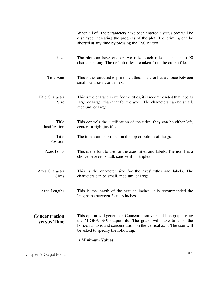|                                       | When all of the parameters have been entered a status box will be<br>displayed indicating the progress of the plot. The printing can be<br>aborted at any time by pressing the ESC button.                                                                  |
|---------------------------------------|-------------------------------------------------------------------------------------------------------------------------------------------------------------------------------------------------------------------------------------------------------------|
| <b>Titles</b>                         | The plot can have one or two titles, each title can be up to 90<br>characters long. The default titles are taken from the output file.                                                                                                                      |
| <b>Title Font</b>                     | This is the font used to print the titles. The user has a choice between<br>small, sans serif, or triplex.                                                                                                                                                  |
| <b>Title Character</b><br>Size        | This is the character size for the titles, it is recommended that it be as<br>large or larger than that for the axes. The characters can be small,<br>medium, or large.                                                                                     |
| Title<br>Justification                | This controls the justification of the titles, they can be either left,<br>center, or right justified.                                                                                                                                                      |
| Title<br>Position                     | The titles can be printed on the top or bottom of the graph.                                                                                                                                                                                                |
| <b>Axes Fonts</b>                     | This is the font to use for the axes' titles and labels. The user has a<br>choice between small, sans serif, or triplex.                                                                                                                                    |
| <b>Axes Character</b><br><b>Sizes</b> | This is the character size for the axes' titles and labels. The<br>characters can be small, medium, or large.                                                                                                                                               |
| Axes Lengths                          | This is the length of the axes in inches, it is recommended the<br>lengths be between 2 and 6 inches.                                                                                                                                                       |
| <b>Concentration</b><br>versus Time   | This option will generate a Concentration versus Time graph using<br>the MIGRATE <sub>v</sub> 9 output file. The graph will have time on the<br>horizontal axis and concentration on the vertical axis. The user will<br>be asked to specify the following; |
|                                       | • Minimum Values,                                                                                                                                                                                                                                           |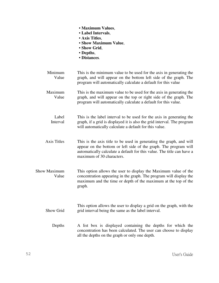|                       | <b>• Maximum Values,</b><br>• Label Intervals,<br>• Axis Titles,<br>• Show Maximum Value,<br>• Show Grid,<br>• Depths,<br>• Distances.                                                                                                         |
|-----------------------|------------------------------------------------------------------------------------------------------------------------------------------------------------------------------------------------------------------------------------------------|
| Minimum<br>Value      | This is the minimum value to be used for the axis in generating the<br>graph, and will appear on the bottom left side of the graph. The<br>program will automatically calculate a default for this value                                       |
| Maximum<br>Value      | This is the maximum value to be used for the axis in generating the<br>graph, and will appear on the top or right side of the graph. The<br>program will automatically calculate a default for this value.                                     |
| Label<br>Interval     | This is the label interval to be used for the axis in generating the<br>graph, if a grid is displayed it is also the grid interval. The program<br>will automatically calculate a default for this value.                                      |
| <b>Axis Titles</b>    | This is the axis title to be used in generating the graph, and will<br>appear on the bottom or left side of the graph. The program will<br>automatically calculate a default for this value. The title can have a<br>maximum of 30 characters. |
| Show Maximum<br>Value | This option allows the user to display the Maximum value of the<br>concentration appearing in the graph. The program will display the<br>maximum and the time or depth of the maximum at the top of the<br>graph.                              |
| Show Grid             | This option allows the user to display a grid on the graph, with the<br>grid interval being the same as the label interval.                                                                                                                    |
| Depths                | A list box is displayed containing the depths for which the<br>concentration has been calculated. The user can choose to display<br>all the depths on the graph or only one depth.                                                             |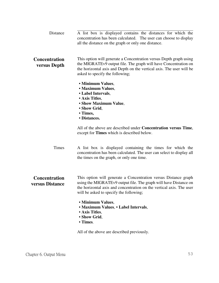| Distance                                | A list box is displayed contains the distances for which the<br>concentration has been calculated. The user can choose to display<br>all the distance on the graph or only one distance.                                                               |
|-----------------------------------------|--------------------------------------------------------------------------------------------------------------------------------------------------------------------------------------------------------------------------------------------------------|
| <b>Concentration</b><br>versus Depth    | This option will generate a Concentration versus Depth graph using<br>the MIGRATEv9 output file. The graph will have Concentration on<br>the horizontal axis and Depth on the vertical axis. The user will be<br>asked to specify the following;       |
|                                         | • Minimum Values,<br>· Maximum Values,<br>• Label Intervals,<br>• Axis Titles,<br>• Show Maximum Value,<br>• Show Grid,<br>• Times,<br>• Distances.                                                                                                    |
|                                         | All of the above are described under <b>Concentration versus Time</b> ,<br>except for Times which is described below.                                                                                                                                  |
| Times                                   | A list box is displayed containing the times for which the<br>concentration has been calculated. The user can select to display all<br>the times on the graph, or only one time.                                                                       |
| <b>Concentration</b><br>versus Distance | This option will generate a Concentration versus Distance graph<br>using the MIGRATEv9 output file. The graph will have Distance on<br>the horizontal axis and concentration on the vertical axis. The user<br>will be asked to specify the following; |
|                                         | • Minimum Values,<br>• Maximum Values, • Label Intervals,<br>• Axis Titles.<br>• Show Grid,<br>• Times.                                                                                                                                                |

All of the above are described previously.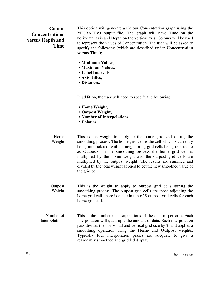## **Colour Concentrations versus Depth and Time**

This option will generate a Colour Concentration graph using the MIGRATEv9 output file. The graph will have Time on the horizontal axis and Depth on the vertical axis. Colours will be used to represent the values of Concentration. The user will be asked to specify the following (which are described under **Concentration versus Time**);

- **Minimum Values**,
- **Maximum Values**,
- **Label Intervals**,
- **Axis Titles,**
- **Distances.**

In addition, the user will need to specify the following:

- **Home Weight**,
- **Outpost Weight**,
- **Number of Interpolations**,
- **Colours**.

Home Weight This is the weight to apply to the home grid cell during the smoothing process. The home grid cell is the cell which is currently being interpolated, with all neighboring grid cells being referred to as Outposts. In the smoothing process the home grid cell is multiplied by the home weight and the outpost grid cells are multiplied by the outpost weight. The results are summed and divided by the total weight applied to get the new smoothed value of the grid cell.

- **Outpost** Weight This is the weight to apply to outpost grid cells during the smoothing process. The outpost grid cells are those adjoining the home grid cell, there is a maximum of 8 outpost grid cells for each home grid cell.
- Number of Interpolations This is the number of interpolations of the data to perform. Each interpolation will quadruple the amount of data. Each interpolation pass divides the horizontal and vertical grid size by 2, and applies a smoothing operation using the **Home** and **Outpost** weights. Typically four interpolation passes are adequate to give a reasonably smoothed and gridded display.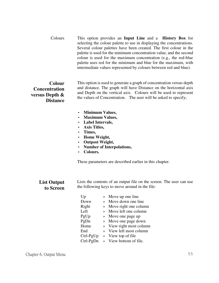Colours This option provides an **Input Line** and a **History Box** for selecting the colour palette to use in displaying the concentrations. Several colour palettes have been created. The first colour in the palette is used for the minimum concentration value, and the second colour is used for the maximum concentration (e.g., the red-blue palette uses red for the minimum and blue for the maximum, with intermediate values represented by colours between red and blue).

## **Colour Concentration versus Depth & Distance**

This option is used to generate a graph of concentration versus depth and distance. The graph will have Distance on the horizontal axis and Depth on the vertical axis. Colours will be used to represent the values of Concentration. The user will be asked to specify;

- **Minimum Values,**
- **Maximum Values,**
- **Label Intervals,**
- **Axis Titles,**
- **Times,**
- **Home Weight,**
- **Outpost Weight,**
- **Number of Interpolations,**
- **Colours.**

These parameters are described earlier in this chapter.

### **List Output to Screen**

Lists the contents of an output file on the screen. The user can use the following keys to move around in the file:

| Up          | $\rightarrow$ | Move up one line         |
|-------------|---------------|--------------------------|
| Down        | $\rightarrow$ | Move down one line       |
| Right       | $\rightarrow$ | Move right one column    |
| Left        | $\mathbf{v}$  | Move left one column     |
| PgUp        | $\rightarrow$ | Move one page up         |
| PgDn        | $\rightarrow$ | Move one page down       |
| Home        |               | » View right most column |
| End         | $\rightarrow$ | View left most column    |
| $Ctrl-PgUp$ |               | » View top of file       |
| Ctrl-PgDn   |               | » View bottom of file.   |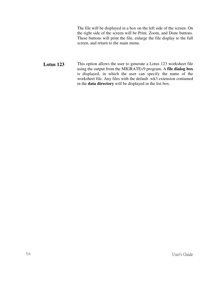The file will be displayed in a box on the left side of the screen. On the right side of the screen will be Print, Zoom, and Done buttons. These buttons will print the file, enlarge the file display to the full screen, and return to the main menu.

Lotus 123 This option allows the user to generate a Lotus 123 worksheet file using the output from the MIGRATEv9 program. A **file dialog box** is displayed, in which the user can specify the name of the worksheet file. Any files with the default .wk3 extension contained in the **data directory** will be displayed in the list box.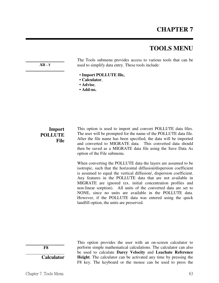# **CHAPTER 7**

# **TOOLS MENU**

**Alt - T** 

The Tools submenu provides access to various tools that can be used to simplify data entry. These tools include:

- **Import POLLUTE file,**
- **Calculator**,
- **Advise**,
- **Add-ns.**

## **Import POLLUTE File**

This option is used to import and convert POLLUTE data files. The user will be prompted for the name of the POLLUTE data file. After the file name has been specified, the data will be imported and converted to MIGRATE data. This converted data should then be saved as a MIGRATE data file using the Save Data As option of the File submenu.

When converting the POLLUTE data the layers are assumed to be isotropic, such that the horizontal diffusion/dispersion coefficient is assumed to equal the vertical diffusion/, dispersion coefficient. Any features in the POLLUTE data that are not available in MIGRATE are ignored (ex. initial concentration profiles and non-linear sorption). All units of the converted data are set to NONE, since no units are available in the POLLUTE data. However, if the POLLUTE data was entered using the quick landfill option, the units are preserved.

 **F8 Calculator**

 This option provides the user with an on-screen calculator to perform simple mathematical calculations. The calculator can also be used to calculate **Darcy Velocity** and **Leachate Reference Height**. The calculator can be activated any time by pressing the F8 key. The keyboard or the mouse can be used to press the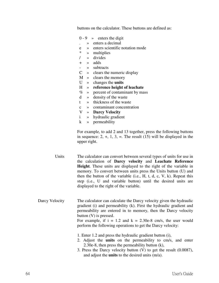buttons on the calculator. These buttons are defined as:

|                | $0 - 9 \rightarrow$ enters the digit                                                                                                                                                                                                                                                                                                                                          |
|----------------|-------------------------------------------------------------------------------------------------------------------------------------------------------------------------------------------------------------------------------------------------------------------------------------------------------------------------------------------------------------------------------|
|                | enters a decimal<br>$\rightarrow$                                                                                                                                                                                                                                                                                                                                             |
|                | enters scientific notation mode<br>e<br>$\gg$                                                                                                                                                                                                                                                                                                                                 |
|                | $\ast$<br>multiplies<br>$\gg$                                                                                                                                                                                                                                                                                                                                                 |
|                | divides<br>$\prime$<br>$\rightarrow$                                                                                                                                                                                                                                                                                                                                          |
|                | adds<br>$+$<br>$\gg$                                                                                                                                                                                                                                                                                                                                                          |
|                | subtracts<br>$-$<br>$\rightarrow$                                                                                                                                                                                                                                                                                                                                             |
|                | $\mathsf{C}$<br>» clears the numeric display                                                                                                                                                                                                                                                                                                                                  |
|                | M<br>» clears the memory                                                                                                                                                                                                                                                                                                                                                      |
|                | U<br>changes the <b>units</b><br>$\rightarrow$                                                                                                                                                                                                                                                                                                                                |
|                | $H_{\rm}$<br>reference height of leachate<br>$\gg$                                                                                                                                                                                                                                                                                                                            |
|                | $\%$<br>» percent of contaminant by mass                                                                                                                                                                                                                                                                                                                                      |
|                | density of the waste<br>d<br>$\rightarrow$                                                                                                                                                                                                                                                                                                                                    |
|                | thickness of the waste<br>t<br>$\rightarrow$                                                                                                                                                                                                                                                                                                                                  |
|                | » contaminant concentration<br>$\mathbf{c}$                                                                                                                                                                                                                                                                                                                                   |
|                | $\mathbf V$<br>» Darcy Velocity                                                                                                                                                                                                                                                                                                                                               |
|                | $\mathbf{i}$<br>» hydraulic gradient                                                                                                                                                                                                                                                                                                                                          |
|                | $\bf k$<br>» permeability                                                                                                                                                                                                                                                                                                                                                     |
| Units          | For example, to add 2 and 13 together, press the following buttons<br>in sequence: $2, +, 1, 3, =$ . The result (15) will be displayed in the<br>upper right.<br>The calculator can convert between several types of units for use in<br>the calculation of Darcy velocity and Leachate Reference<br><b>Height.</b> These units are displayed to the right of the variable in |
|                | memory. To convert between units press the Units button (U) and<br>then the button of the variable $(i.e., H, t, d, c, V, k)$ . Repeat this<br>step (i.e., U and variable button) until the desired units are<br>displayed to the right of the variable.                                                                                                                      |
| Darcy Velocity | The calculator can calculate the Darcy velocity given the hydraulic<br>gradient (i) and permeability (k). First the hydraulic gradient and<br>permeability are entered in to memory, then the Darcy velocity<br>button (V) is pressed.<br>For example, if $i = 1.2$ and $k = 2.30e-8$ cm/s, the user would<br>perform the following operations to get the Darcy velocity:     |
|                | 1. Enter 1.2 and press the hydraulic gradient button (i),<br>2. Adjust the <b>units</b> on the permeability to cm/s, and enter<br>2.30e-8, then press the permeability button (k),<br>3. Press the Darcy velocity button $(V)$ to get the result $(0.0087)$ ,<br>and adjust the <b>units</b> to the desired units (m/a).                                                      |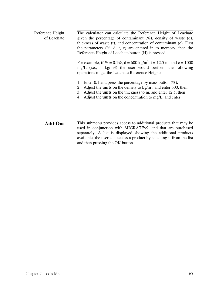Reference Height of Leachate The calculator can calculate the Reference Height of Leachate given the percentage of contaminant  $(\%)$ , density of waste (d), thickness of waste (t), and concentration of contaminant (c). First the parameters  $(\%$ , d, t, c) are entered in to memory, then the Reference Height of Leachate button (H) is pressed.

> For example, if  $\% = 0.1\%$ ,  $d = 600 \text{ kg/m}^3$ ,  $t = 12.5 \text{ m}$ , and  $c = 1000$ mg/L (i.e., 1 kg/m3) the user would perform the following operations to get the Leachate Reference Height:

- 1. Enter 0.1 and press the percentage by mass button  $(\%)$ ,
- 2. Adjust the **units** on the density to  $kg/m<sup>3</sup>$ , and enter 600, then
- 3. Adjust the **units** on the thickness to m, and enter 12.5, then
- 4. Adjust the **units** on the concentration to mg/L, and enter
- Add-Ons This submenu provides access to additional products that may be used in conjunction with MIGRATEv9, and that are purchased separately. A list is displayed showing the additional products available, the user can access a product by selecting it from the list and then pressing the OK button.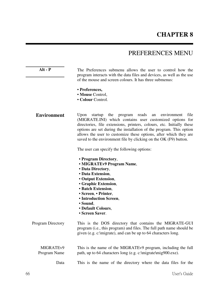# **CHAPTER 8**

# PREFERENCES MENU

Alt - P The Preferences submenu allows the user to control how the program interacts with the data files and devices, as well as the use of the mouse and screen colours. It has three submenus:

- **Preferences,**
- **Mouse** Control,
- **Colour** Control.

**Environment** Upon startup the program reads an environment file (MIGRATE.INI) which contains user customized options for directories, file extensions, printers, colours, etc. Initially these options are set during the installation of the program. This option allows the user to customize these options, after which they are saved to the environment file by clicking on the OK (F9) button.

The user can specify the following options:

- **Program Directory**,
- **MIGRATEv9 Program Name**,
- **Data Directory**,
- **Data Extension**,
- **Output Extension**,
- **Graphic Extension**,
- **Batch Extension**,
- **Screen**, **Printer**,
- **Introduction Screen**,
- **Sound**,
- **Default Colours**,
- **Screen Saver**.

Program Directory This is the DOS directory that contains the MIGRATE-GUI program (i.e., this program) and files. The full path name should be given (e.g. c:\migrate), and can be up to 64 characters long.

MIGRATEv9 Program Name This is the name of the MIGRATEv9 program, including the full path, up to 64 characters long (e.g. c:\migrate\mig900.exe).

Data This is the name of the directory where the data files for the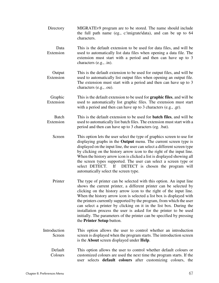| Directory                 | MIGRATEv9 program are to be stored. The name should include<br>the full path name (eg., c:\migrate\data), and can be up to 64<br>characters.                                                                                                                                                                                                                                                                                                                                                                                                                                                                    |
|---------------------------|-----------------------------------------------------------------------------------------------------------------------------------------------------------------------------------------------------------------------------------------------------------------------------------------------------------------------------------------------------------------------------------------------------------------------------------------------------------------------------------------------------------------------------------------------------------------------------------------------------------------|
| Data<br>Extension         | This is the default extension to be used for data files, and will be<br>used to automatically list data files when opening a data file. The<br>extension must start with a period and then can have up to 3<br>characters (e.g., .in).                                                                                                                                                                                                                                                                                                                                                                          |
| Output<br>Extension       | This is the default extension to be used for output files, and will be<br>used to automatically list output files when opening an output file.<br>The extension must start with a period and then can have up to 3<br>characters (e.g., .ou).                                                                                                                                                                                                                                                                                                                                                                   |
| Graphic<br>Extension      | This is the default extension to be used for <b>graphic files</b> , and will be<br>used to automatically list graphic files. The extension must start<br>with a period and then can have up to 3 characters (e.g., .gr).                                                                                                                                                                                                                                                                                                                                                                                        |
| <b>Batch</b><br>Extension | This is the default extension to be used for <b>batch files</b> , and will be<br>used to automatically list batch files. The extension must start with a<br>period and then can have up to 3 characters (eg. .bat).                                                                                                                                                                                                                                                                                                                                                                                             |
| Screen                    | This option lets the user select the type of graphics screen to use for<br>displaying graphs in the <b>Output</b> menu. The current screen type is<br>displayed on the input line, the user can select a different screen type<br>by clicking on the history arrow icon to the right of the input line.<br>When the history arrow icon is clicked a list is displayed showing all<br>the screen types supported. The user can select a screen type or<br>If<br>select DETECT.<br>DETECT is chosen the program will<br>automatically select the screen type.                                                     |
| Printer                   | The type of printer can be selected with this option. An input line<br>shows the current printer, a different printer can be selected by<br>clicking on the history arrow icon to the right of the input line.<br>When the history arrow icon is selected a list box is displayed with<br>the printers currently supported by the program, from which the user<br>can select a printer by clicking on it in the list box. During the<br>installation process the user is asked for the printer to be used<br>initially. The parameters of the printer can be specified by pressing<br>the Printer Setup button. |
| Introduction<br>Screen    | This option allows the user to control whether an introduction<br>screen is displayed when the program starts. The introduction screen<br>is the About screen displayed under Help.                                                                                                                                                                                                                                                                                                                                                                                                                             |
| Default<br>Colours        | This option allows the user to control whether default colours or<br>customized colours are used the next time the program starts. If the<br>user selects default colours after customizing colours, the                                                                                                                                                                                                                                                                                                                                                                                                        |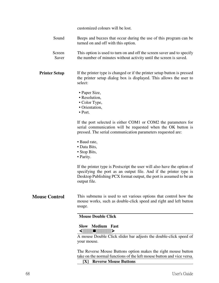customized colours will be lost.

- Sound Beeps and buzzes that occur during the use of this program can be turned on and off with this option.
- Screen Saver This option is used to turn on and off the screen saver and to specify the number of minutes without activity until the screen is saved.
- **Printer Setup** If the printer type is changed or if the printer setup button is pressed the printer setup dialog box is displayed. This allows the user to select:
	- Paper Size,
	- Resolution,
	- Color Type,
	- Orientation,
	- Port.

If the port selected is either COM1 or COM2 the parameters for serial communication will be requested when the OK button is pressed. The serial communication parameters requested are:

- Baud rate,
- Data Bits,
- Stop Bits,
- Parity.

If the printer type is Postscript the user will also have the option of specifying the port as an output file. And if the printer type is Desktop Publishing PCX format output, the port is assumed to be an output file.

**Mouse Control** This submenu is used to set various options that control how the mouse works, such as double-click speed and right and left button usage.

### **Mouse Double Click**

### **Slow Medium Fast**

 $\left\langle \left\langle \left\langle \left\langle \cdot ,\cdot \right\rangle \right\rangle \right\rangle \right\rangle$ 

A mouse Double Click slider bar adjusts the double-click speed of your mouse.

The Reverse Mouse Buttons option makes the right mouse button take on the normal functions of the left mouse button and vice versa.

 **[X] Reverse Mouse Buttons**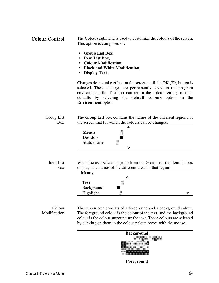| <b>Colour Control</b> | The Colours submenu is used to customize the colours of the screen. |
|-----------------------|---------------------------------------------------------------------|
|                       | This option is composed of:                                         |

- **Group List Box**,
- **Item List Box**,
- **Colour Modification**,
- **Black and White Modification**,
- **Display Text**.

Changes do not take effect on the screen until the OK (F9) button is selected. These changes are permanently saved in the program environment file. The user can return the colour settings to their defaults by selecting the **default colours** option in the **Environment** option.

| Group List | The Group List box contains the names of the different regions of |
|------------|-------------------------------------------------------------------|
| Box        | the screen that for which the colours can be changed.             |

| <b>Menus</b>       | <br>-2222<br><br><br><br><br><br><br>           |  |
|--------------------|-------------------------------------------------|--|
| <b>Desktop</b>     |                                                 |  |
| <b>Status Line</b> | <br>-------<br><br><br>--------<br><br>-------- |  |
|                    |                                                 |  |

| Item List |  |
|-----------|--|
| Box       |  |

When the user selects a group from the Group list, the Item list box displays the names of the different areas in that region

| <b>Menus</b> |                                          |
|--------------|------------------------------------------|
|              |                                          |
| Text         | <br><br><br><br><br><br><br><br><br><br> |
| Background   |                                          |
| Highlight    | <br><br><br><br><br><br><br><br><br>     |

#### Colour Modification

The screen area consists of a foreground and a background colour. The foreground colour is the colour of the text, and the background colour is the colour surrounding the text. These colours are selected by clicking on them in the colour palette boxes with the mouse.



 **Foreground**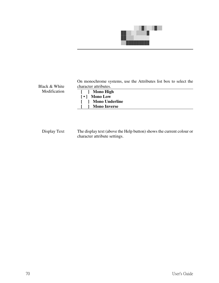

Black & White Modification

| On monochrome systems, use the Attributes list box to select the |  |  |  |
|------------------------------------------------------------------|--|--|--|
| character attributes.                                            |  |  |  |
| [ ] Mono High                                                    |  |  |  |
| [•] Mono Low                                                     |  |  |  |
| [ ] Mono Underline                                               |  |  |  |

 **[ ] Mono Inverse**

Display Text The display text (above the Help button) shows the current colour or character attribute settings.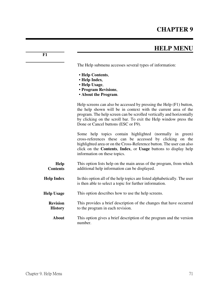# **HELP MENU**

The Help submenu accesses several types of information:

- **Help Contents**,
- **Help Index**,
- **Help Usage**,
- **Program Revisions**,
- **About the Program**.

Help screens can also be accessed by pressing the Help (F1) button, the help shown will be in context with the current area of the program. The help screen can be scrolled vertically and horizontally by clicking on the scroll bar. To exit the Help window press the Done or Cancel buttons (ESC or F9).

Some help topics contain highlighted (normally in green) cross-references these can be accessed by clicking on the highlighted area or on the Cross-Reference button. The user can also click on the **Contents**, **Index**, or **Usage** buttons to display help information on these topics.

| <b>Help</b>     | This option lists help on the main areas of the program, from which |
|-----------------|---------------------------------------------------------------------|
| <b>Contents</b> | additional help information can be displayed.                       |

- **Help Index** In this option all of the help topics are listed alphabetically. The user is then able to select a topic for further information.
- **Help Usage** This option describes how to use the help screens.
	- **Revision History** This provides a brief description of the changes that have occurred to the program in each revision.
		- **About** This option gives a brief description of the program and the version number.

**F1**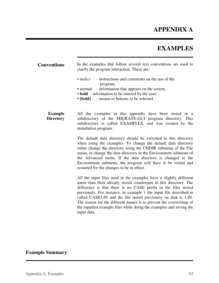# **APPENDIX A**

# **EXAMPLES**

| <b>Conventions</b>                 | In the examples that follow several text conventions are used to<br>clarify the program interaction. These are:                                                                                                                                                                                                                                                                                                                                                                                                |
|------------------------------------|----------------------------------------------------------------------------------------------------------------------------------------------------------------------------------------------------------------------------------------------------------------------------------------------------------------------------------------------------------------------------------------------------------------------------------------------------------------------------------------------------------------|
|                                    | $\bullet$ italics<br>- instructions and comments on the use of the<br>program,<br>- information that appears on the screen,<br>• normal<br>• <b>bold</b> - information to be entered by the user,<br>• [bold] - menus or buttons to be selected.                                                                                                                                                                                                                                                               |
| <b>Example</b><br><b>Directory</b> | All the examples in this appendix have been stored in a<br>subdirectory of the MIGRATE-GUI program directory. This<br>subdirectory is called EXAMPLES, and was created by the<br>installation program.                                                                                                                                                                                                                                                                                                         |
|                                    | The default data directory should be switched to this directory<br>when using the examples. To change the default data directory<br>either change the directory using the CHDIR submenu of the File<br>menu, or change the data directory in the Environment submenu of<br>the Advanced menu. If the data directory is changed in the<br>Environment submenu, the program will have to be exited and<br>restarted for the changes to be in effect.                                                             |
|                                    | All the input files used in the examples have a slightly different<br>name than their already stored counterpart in this directory. The<br>difference is that there is no CASE prefix in the files stored<br>previously. For instance, in example 1 the input file described is<br>called CASE1.IN and the file stored previously on disk is 1.IN.<br>The reason for the different names is to prevent the overwriting of<br>the supplied example files while doing the examples and saving the<br>input data. |

# **Example Summary**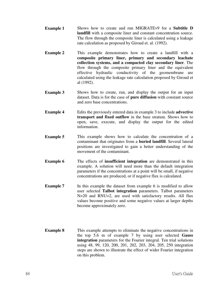- **Example 1** Shows how to create and run MIGRATEv9 for a **Subtitle D landfill** with a composite liner and constant concentration source. The flow through the composite liner is calculated using a leakage rate calculation as proposed by Giroud et. al. (1992).
- **Example 2** This example demonstrates how to create a landfill with a **composite primary liner, primary and secondary leachate collection systems, and a compacted clay secondary liner**. The flow through the composite primary liner and the equivalent effective hydraulic conductivity of the geomembrane are calculated using the leakage rate calculation proposed by Giroud et al (1992).
- **Example 3** Shows how to create, run, and display the output for an input dataset. Data is for the case of **pure diffusion** with constant source and zero base concentrations.
- **Example 4** Edits the previously entered data in example 3 to include **advective transport and fixed outflow** in the base stratum. Shows how to open, save, execute, and display the output for the edited information.
- **Example 5** This example shows how to calculate the concentration of a contaminant that originates from a **buried landfill**. Several lateral positions are investigated to gain a better understanding of the movement of the contaminant.
- **Example 6** The effects of **insufficient integration** are demonstrated in this example. A solution will need more than the default integration parameters if the concentrations at a point will be small, if negative concentrations are produced, or if negative flux is calculated.
- **Example 7** In this example the dataset from example 6 is modified to allow user selected **Talbot integration** parameters. Talbot parameters N=20 and RNU=2, are used with satisfactory results. All flux values become positive and some negative values at larger depths become approximately zero.
- **Example 8** This example attempts to eliminate the negative concentrations in the top 5.6 m of example 7 by using user selected **Gauss integration** parameters for the Fourier integral. Ten trial solutions using 48, 99, 120, 200, 201, 202, 203, 204, 205, 250 integration steps are shown to illustrate the effect of wider Fourier integration on this problem.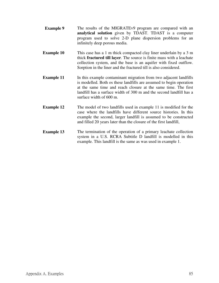- **Example 9** The results of the MIGRATEv9 program are compared with an **analytical solution** given by TDAST. TDAST is a computer program used to solve 2-D plane dispersion problems for an infinitely deep porous media.
- **Example 10** This case has a 1 m thick compacted clay liner underlain by a 3 m thick **fractured till layer**. The source is finite mass with a leachate collection system, and the base is an aquifer with fixed outflow. Sorption in the liner and the fractured till is also considered.
- **Example 11** In this example contaminant migration from two adjacent landfills is modelled. Both os these landfills are assumed to begin operation at the same time and reach closure at the same time. The first landfill has a surface width of 300 m and the second landfill has a surface width of 600 m.
- **Example 12** The model of two landfills used in example 11 is modified for the case where the landfills have different source histories. In this example the second, larger landfill is assumed to be constructed and filled 20 years later than the closure of the first landfill,
- **Example 13** The termination of the operation of a primary leachate collection system in a U.S. RCRA Subtitle D landfill is modelled in this example. This landfill is the same as was used in example 1.